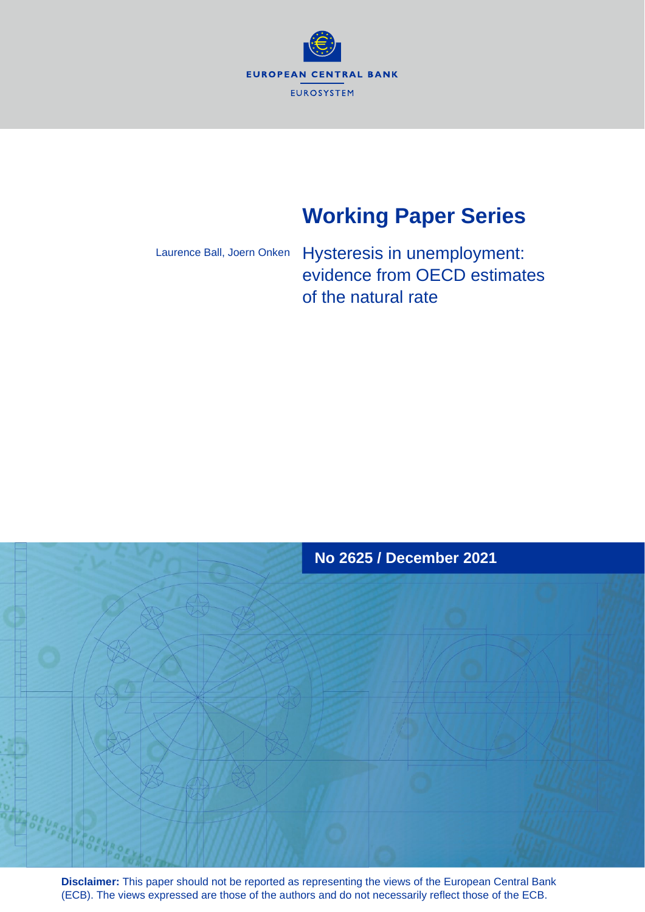**EUROPEAN CENTRAL BANK EUROSYSTEM** 

# **Working Paper Series**

Laurence Ball, Joern Onken

Hysteresis in unemployment: evidence from OECD estimates of the natural rate



**Disclaimer:** This paper should not be reported as representing the views of the European Central Bank (ECB). The views expressed are those of the authors and do not necessarily reflect those of the ECB.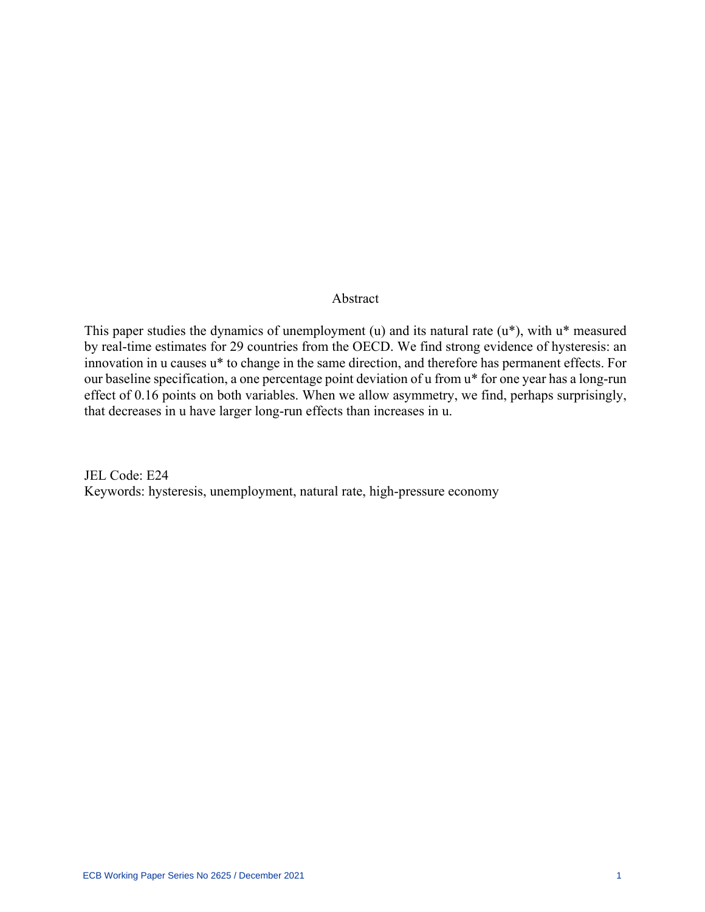# Abstract

This paper studies the dynamics of unemployment (u) and its natural rate (u\*), with u\* measured by real-time estimates for 29 countries from the OECD. We find strong evidence of hysteresis: an innovation in u causes u\* to change in the same direction, and therefore has permanent effects. For our baseline specification, a one percentage point deviation of u from u\* for one year has a long-run effect of 0.16 points on both variables. When we allow asymmetry, we find, perhaps surprisingly, that decreases in u have larger long-run effects than increases in u.

JEL Code: E24 Keywords: hysteresis, unemployment, natural rate, high-pressure economy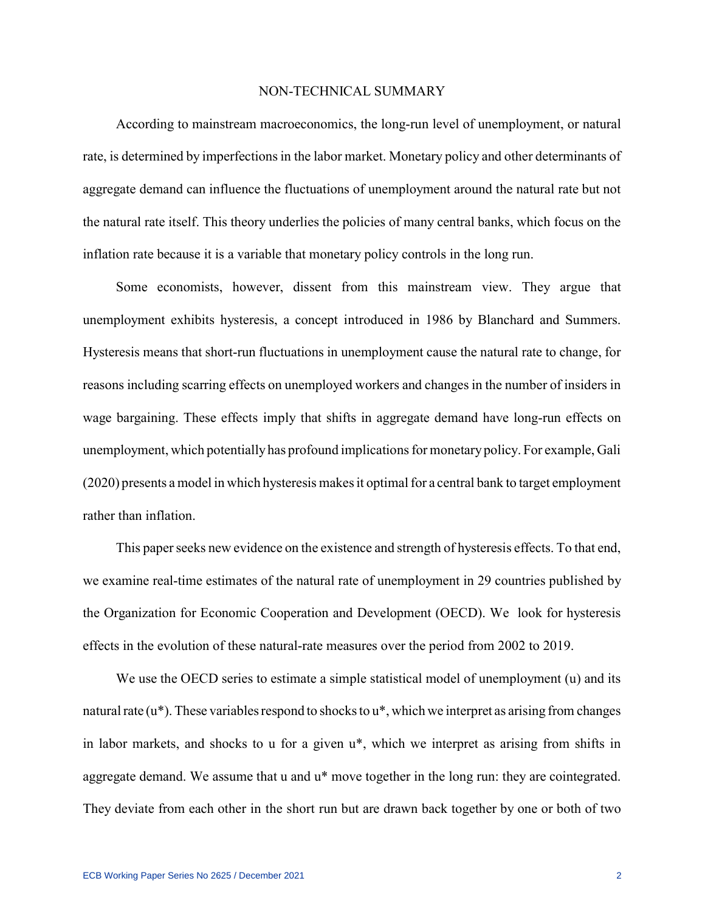#### NON-TECHNICAL SUMMARY

According to mainstream macroeconomics, the long-run level of unemployment, or natural rate, is determined by imperfections in the labor market. Monetary policy and other determinants of aggregate demand can influence the fluctuations of unemployment around the natural rate but not the natural rate itself. This theory underlies the policies of many central banks, which focus on the inflation rate because it is a variable that monetary policy controls in the long run.

Some economists, however, dissent from this mainstream view. They argue that unemployment exhibits hysteresis, a concept introduced in 1986 by Blanchard and Summers. Hysteresis means that short-run fluctuations in unemployment cause the natural rate to change, for reasons including scarring effects on unemployed workers and changes in the number of insiders in wage bargaining. These effects imply that shifts in aggregate demand have long-run effects on unemployment, which potentially has profound implications for monetary policy. For example, Gali (2020) presents a model in which hysteresis makes it optimal for a central bank to target employment rather than inflation.

This paper seeks new evidence on the existence and strength of hysteresis effects. To that end, we examine real-time estimates of the natural rate of unemployment in 29 countries published by the Organization for Economic Cooperation and Development (OECD). We look for hysteresis effects in the evolution of these natural-rate measures over the period from 2002 to 2019.

We use the OECD series to estimate a simple statistical model of unemployment (u) and its natural rate (u\*). These variables respond to shocks to u\*, which we interpret as arising from changes in labor markets, and shocks to u for a given u\*, which we interpret as arising from shifts in aggregate demand. We assume that u and u\* move together in the long run: they are cointegrated. They deviate from each other in the short run but are drawn back together by one or both of two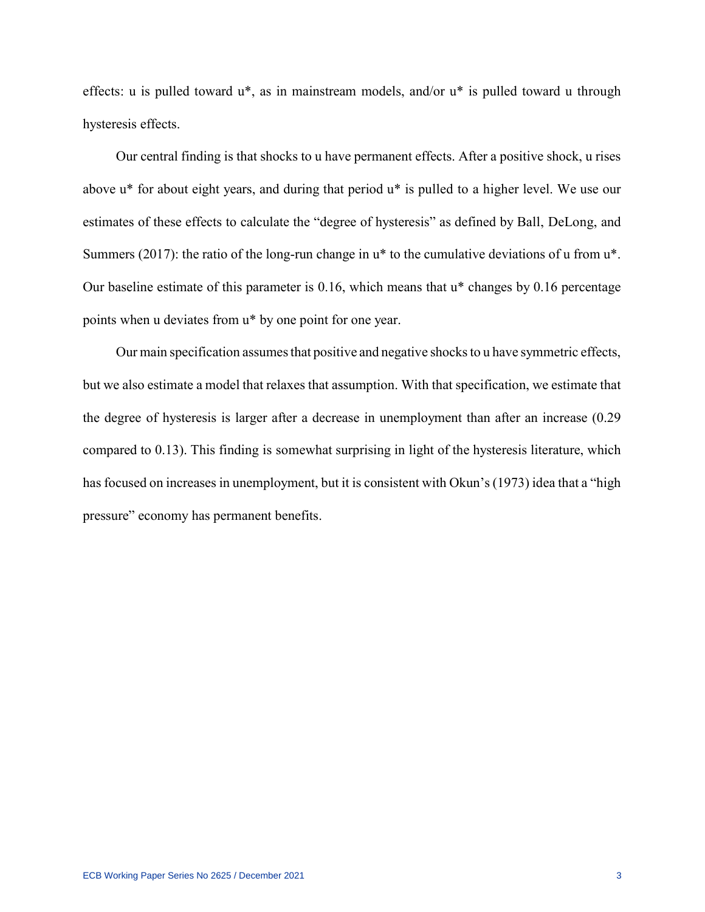effects: u is pulled toward u\*, as in mainstream models, and/or u\* is pulled toward u through hysteresis effects.

Our central finding is that shocks to u have permanent effects. After a positive shock, u rises above u\* for about eight years, and during that period u\* is pulled to a higher level. We use our estimates of these effects to calculate the "degree of hysteresis" as defined by Ball, DeLong, and Summers (2017): the ratio of the long-run change in  $u^*$  to the cumulative deviations of u from  $u^*$ . Our baseline estimate of this parameter is 0.16, which means that u\* changes by 0.16 percentage points when u deviates from u\* by one point for one year.

Our main specification assumes that positive and negative shocks to u have symmetric effects, but we also estimate a model that relaxes that assumption. With that specification, we estimate that the degree of hysteresis is larger after a decrease in unemployment than after an increase (0.29 compared to 0.13). This finding is somewhat surprising in light of the hysteresis literature, which has focused on increases in unemployment, but it is consistent with Okun's (1973) idea that a "high pressure" economy has permanent benefits.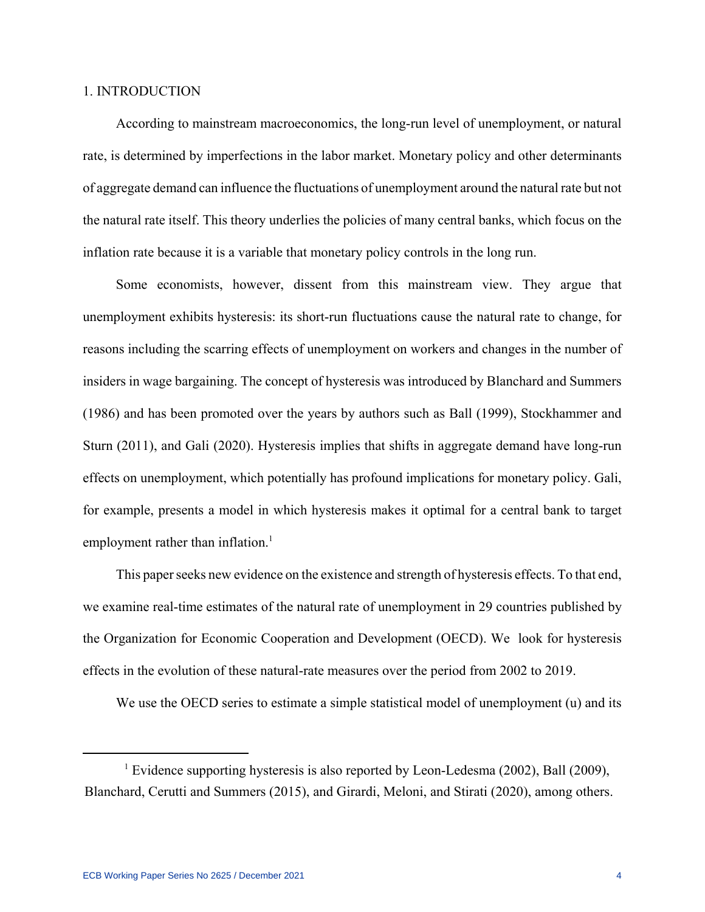## 1. INTRODUCTION

According to mainstream macroeconomics, the long-run level of unemployment, or natural rate, is determined by imperfections in the labor market. Monetary policy and other determinants of aggregate demand can influence the fluctuations of unemployment around the natural rate but not the natural rate itself. This theory underlies the policies of many central banks, which focus on the inflation rate because it is a variable that monetary policy controls in the long run.

Some economists, however, dissent from this mainstream view. They argue that unemployment exhibits hysteresis: its short-run fluctuations cause the natural rate to change, for reasons including the scarring effects of unemployment on workers and changes in the number of insiders in wage bargaining. The concept of hysteresis was introduced by Blanchard and Summers (1986) and has been promoted over the years by authors such as Ball (1999), Stockhammer and Sturn (2011), and Gali (2020). Hysteresis implies that shifts in aggregate demand have long-run effects on unemployment, which potentially has profound implications for monetary policy. Gali, for example, presents a model in which hysteresis makes it optimal for a central bank to target employment rather than inflation.<sup>1</sup>

This paper seeks new evidence on the existence and strength of hysteresis effects. To that end, we examine real-time estimates of the natural rate of unemployment in 29 countries published by the Organization for Economic Cooperation and Development (OECD). We look for hysteresis effects in the evolution of these natural-rate measures over the period from 2002 to 2019.

We use the OECD series to estimate a simple statistical model of unemployment (u) and its

<sup>&</sup>lt;sup>1</sup> Evidence supporting hysteresis is also reported by Leon-Ledesma (2002), Ball (2009), Blanchard, Cerutti and Summers (2015), and Girardi, Meloni, and Stirati (2020), among others.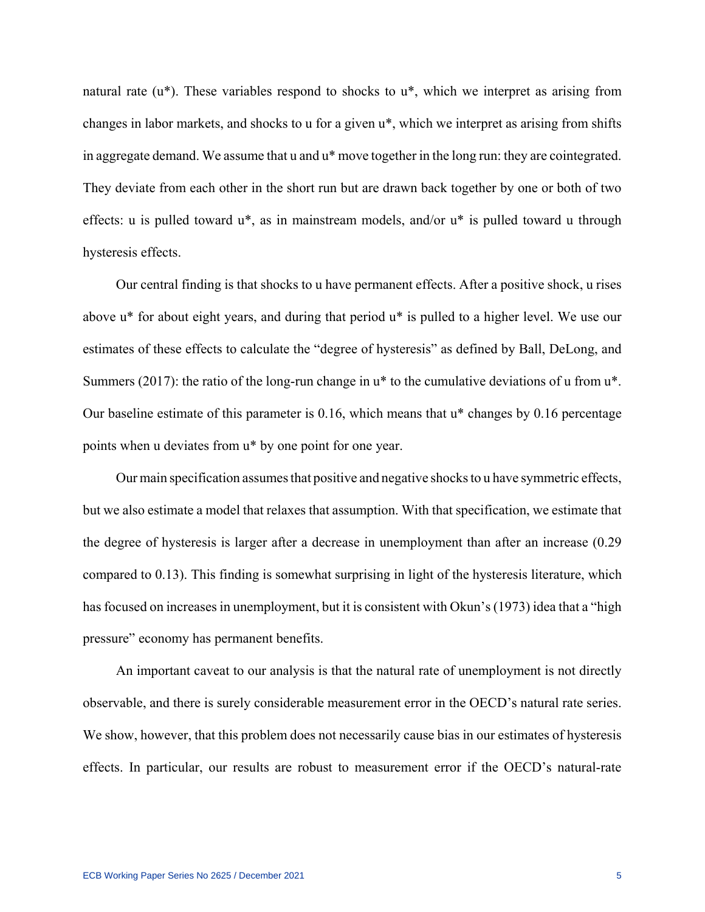natural rate (u\*). These variables respond to shocks to u\*, which we interpret as arising from changes in labor markets, and shocks to u for a given u\*, which we interpret as arising from shifts in aggregate demand. We assume that u and u\* move together in the long run: they are cointegrated. They deviate from each other in the short run but are drawn back together by one or both of two effects: u is pulled toward u\*, as in mainstream models, and/or u\* is pulled toward u through hysteresis effects.

Our central finding is that shocks to u have permanent effects. After a positive shock, u rises above u\* for about eight years, and during that period u\* is pulled to a higher level. We use our estimates of these effects to calculate the "degree of hysteresis" as defined by Ball, DeLong, and Summers (2017): the ratio of the long-run change in  $u^*$  to the cumulative deviations of u from  $u^*$ . Our baseline estimate of this parameter is 0.16, which means that u\* changes by 0.16 percentage points when u deviates from u\* by one point for one year.

Our main specification assumes that positive and negative shocks to u have symmetric effects, but we also estimate a model that relaxes that assumption. With that specification, we estimate that the degree of hysteresis is larger after a decrease in unemployment than after an increase (0.29 compared to 0.13). This finding is somewhat surprising in light of the hysteresis literature, which has focused on increases in unemployment, but it is consistent with Okun's (1973) idea that a "high pressure" economy has permanent benefits.

An important caveat to our analysis is that the natural rate of unemployment is not directly observable, and there is surely considerable measurement error in the OECD's natural rate series. We show, however, that this problem does not necessarily cause bias in our estimates of hysteresis effects. In particular, our results are robust to measurement error if the OECD's natural-rate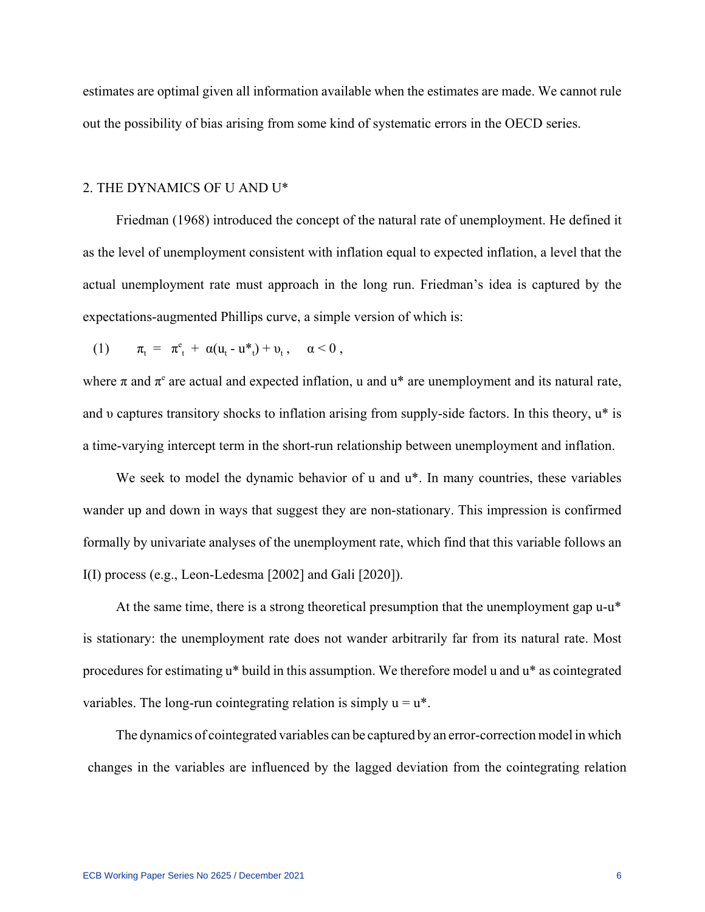estimates are optimal given all information available when the estimates are made. We cannot rule out the possibility of bias arising from some kind of systematic errors in the OECD series.

#### 2. THE DYNAMICS OF U AND U\*

Friedman (1968) introduced the concept of the natural rate of unemployment. He defined it as the level of unemployment consistent with inflation equal to expected inflation, a level that the actual unemployment rate must approach in the long run. Friedman's idea is captured by the expectations-augmented Phillips curve, a simple version of which is:

(1) 
$$
\pi_t = \pi_t^e + \alpha (u_t - u^* + v_t, \alpha < 0,
$$

where  $\pi$  and  $\pi^e$  are actual and expected inflation, u and u\* are unemployment and its natural rate, and υ captures transitory shocks to inflation arising from supply-side factors. In this theory, u\* is a time-varying intercept term in the short-run relationship between unemployment and inflation.

We seek to model the dynamic behavior of u and  $u^*$ . In many countries, these variables wander up and down in ways that suggest they are non-stationary. This impression is confirmed formally by univariate analyses of the unemployment rate, which find that this variable follows an I(I) process (e.g., Leon-Ledesma [2002] and Gali [2020]).

At the same time, there is a strong theoretical presumption that the unemployment gap u-u\* is stationary: the unemployment rate does not wander arbitrarily far from its natural rate. Most procedures for estimating u\* build in this assumption. We therefore model u and u\* as cointegrated variables. The long-run cointegrating relation is simply  $u = u^*$ .

The dynamics of cointegrated variables can be captured by an error-correction model in which changes in the variables are influenced by the lagged deviation from the cointegrating relation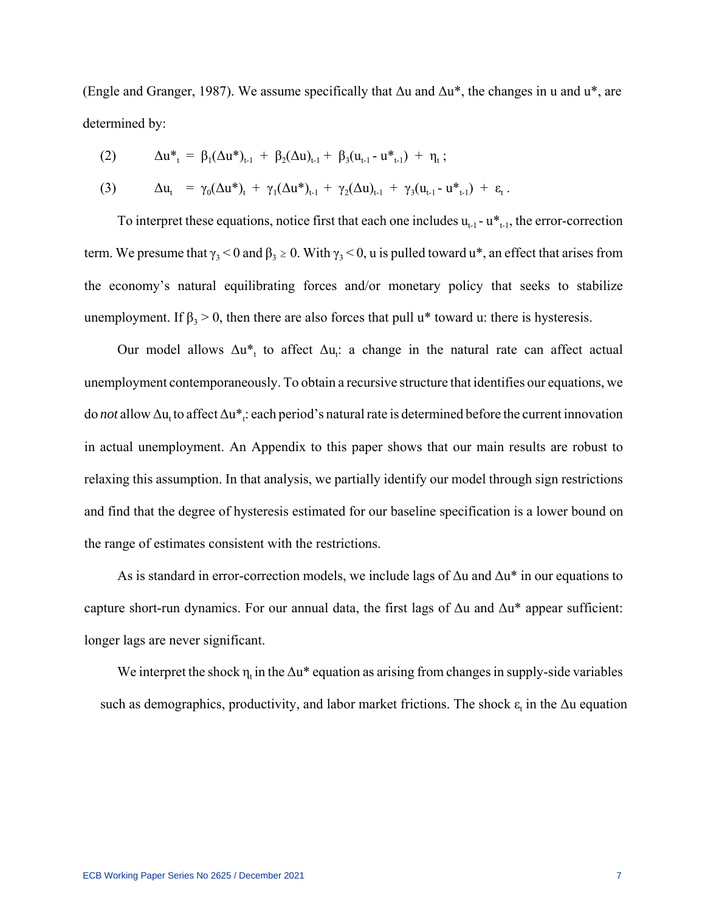(Engle and Granger, 1987). We assume specifically that  $\Delta u$  and  $\Delta u^*$ , the changes in u and  $u^*$ , are determined by:

(2) 
$$
\Delta u^*_{t} = \beta_1 (\Delta u^*)_{t-1} + \beta_2 (\Delta u)_{t-1} + \beta_3 (u_{t-1} - u^*_{t-1}) + \eta_t ;
$$

(3) 
$$
\Delta u_t = \gamma_0 (\Delta u^*)_t + \gamma_1 (\Delta u^*)_t_{t-1} + \gamma_2 (\Delta u)_{t-1} + \gamma_3 (u_{t-1} - u^*_{t-1}) + \varepsilon_t.
$$

To interpret these equations, notice first that each one includes  $u_{t-1} - u_{t-1}^*$ , the error-correction term. We presume that  $\gamma_3$  < 0 and  $\beta_3 \ge 0$ . With  $\gamma_3$  < 0, u is pulled toward u\*, an effect that arises from the economy's natural equilibrating forces and/or monetary policy that seeks to stabilize unemployment. If  $\beta_3 > 0$ , then there are also forces that pull u<sup>\*</sup> toward u: there is hysteresis.

Our model allows  $\Delta u_{t}^{*}$  to affect  $\Delta u_{t}$ : a change in the natural rate can affect actual unemployment contemporaneously. To obtain a recursive structure that identifies our equations, we do *not* allow Δu<sub>t</sub> to affect Δu<sup>\*</sup><sub>t</sub>: each period's natural rate is determined before the current innovation in actual unemployment. An Appendix to this paper shows that our main results are robust to relaxing this assumption. In that analysis, we partially identify our model through sign restrictions and find that the degree of hysteresis estimated for our baseline specification is a lower bound on the range of estimates consistent with the restrictions.

As is standard in error-correction models, we include lags of  $\Delta u$  and  $\Delta u^*$  in our equations to capture short-run dynamics. For our annual data, the first lags of Δu and Δu\* appear sufficient: longer lags are never significant.

We interpret the shock  $\eta_t$  in the  $\Delta u^*$  equation as arising from changes in supply-side variables such as demographics, productivity, and labor market frictions. The shock  $\varepsilon_t$  in the  $\Delta u$  equation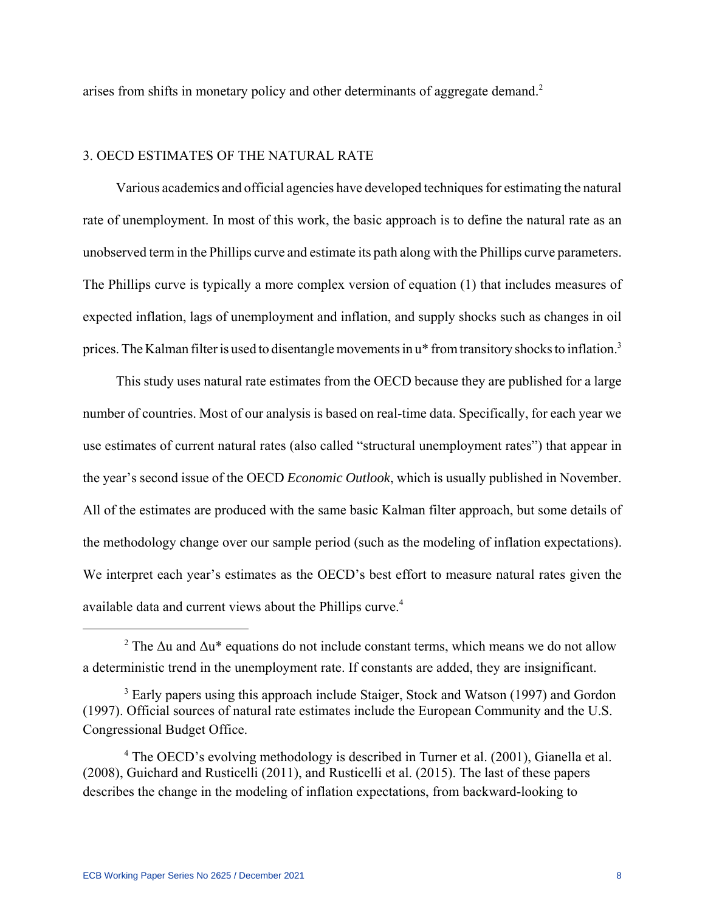arises from shifts in monetary policy and other determinants of aggregate demand.<sup>2</sup>

## 3. OECD ESTIMATES OF THE NATURAL RATE

Various academics and official agencies have developed techniques for estimating the natural rate of unemployment. In most of this work, the basic approach is to define the natural rate as an unobserved term in the Phillips curve and estimate its path along with the Phillips curve parameters. The Phillips curve is typically a more complex version of equation (1) that includes measures of expected inflation, lags of unemployment and inflation, and supply shocks such as changes in oil prices. The Kalman filter is used to disentangle movements in  $u^*$  from transitory shocks to inflation.<sup>3</sup>

This study uses natural rate estimates from the OECD because they are published for a large number of countries. Most of our analysis is based on real-time data. Specifically, for each year we use estimates of current natural rates (also called "structural unemployment rates") that appear in the year's second issue of the OECD *Economic Outlook*, which is usually published in November. All of the estimates are produced with the same basic Kalman filter approach, but some details of the methodology change over our sample period (such as the modeling of inflation expectations). We interpret each year's estimates as the OECD's best effort to measure natural rates given the available data and current views about the Phillips curve.<sup>4</sup>

<sup>&</sup>lt;sup>2</sup> The  $\Delta u$  and  $\Delta u^*$  equations do not include constant terms, which means we do not allow a deterministic trend in the unemployment rate. If constants are added, they are insignificant.

<sup>&</sup>lt;sup>3</sup> Early papers using this approach include Staiger, Stock and Watson (1997) and Gordon (1997). Official sources of natural rate estimates include the European Community and the U.S. Congressional Budget Office.

<sup>&</sup>lt;sup>4</sup> The OECD's evolving methodology is described in Turner et al. (2001), Gianella et al. (2008), Guichard and Rusticelli (2011), and Rusticelli et al. (2015). The last of these papers describes the change in the modeling of inflation expectations, from backward-looking to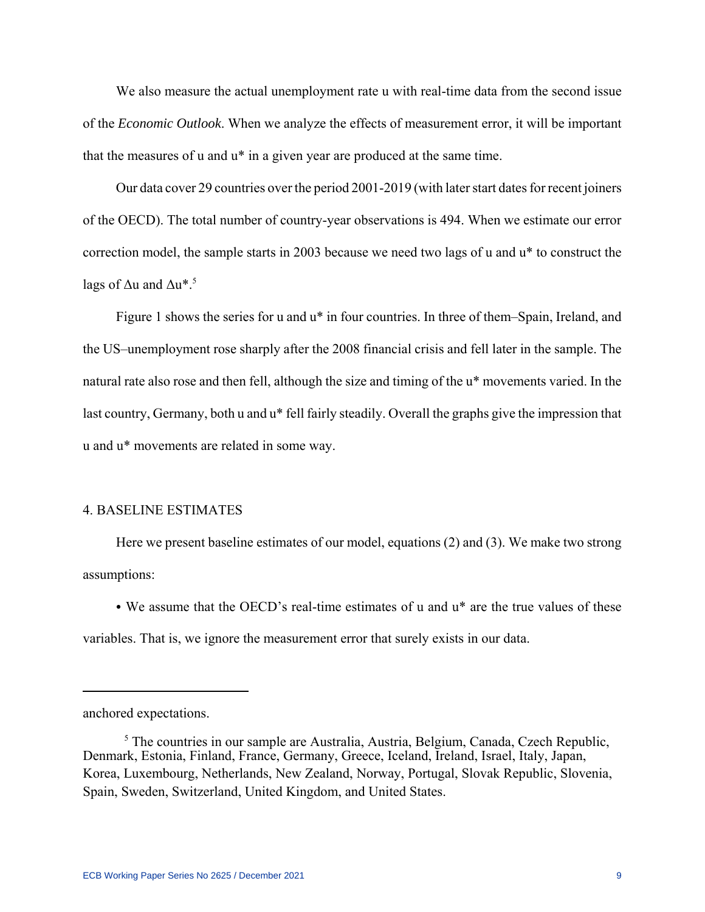We also measure the actual unemployment rate u with real-time data from the second issue of the *Economic Outlook*. When we analyze the effects of measurement error, it will be important that the measures of u and u\* in a given year are produced at the same time.

Our data cover 29 countries over the period 2001-2019 (with later start dates for recent joiners of the OECD). The total number of country-year observations is 494. When we estimate our error correction model, the sample starts in 2003 because we need two lags of u and u\* to construct the lags of  $\Delta u$  and  $\Delta u^*$ .<sup>5</sup>

Figure 1 shows the series for u and u\* in four countries. In three of them–Spain, Ireland, and the US–unemployment rose sharply after the 2008 financial crisis and fell later in the sample. The natural rate also rose and then fell, although the size and timing of the u\* movements varied. In the last country, Germany, both u and u\* fell fairly steadily. Overall the graphs give the impression that u and u\* movements are related in some way.

# 4. BASELINE ESTIMATES

Here we present baseline estimates of our model, equations (2) and (3). We make two strong assumptions:

• We assume that the OECD's real-time estimates of u and  $u^*$  are the true values of these variables. That is, we ignore the measurement error that surely exists in our data.

anchored expectations.

<sup>&</sup>lt;sup>5</sup> The countries in our sample are Australia, Austria, Belgium, Canada, Czech Republic, Denmark, Estonia, Finland, France, Germany, Greece, Iceland, Ireland, Israel, Italy, Japan, Korea, Luxembourg, Netherlands, New Zealand, Norway, Portugal, Slovak Republic, Slovenia, Spain, Sweden, Switzerland, United Kingdom, and United States.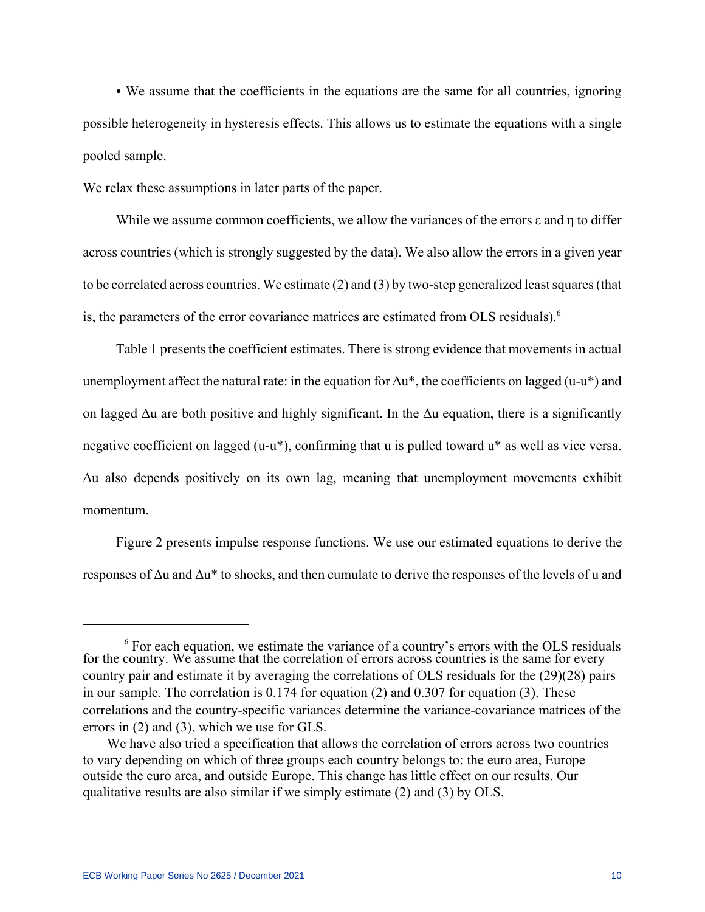• We assume that the coefficients in the equations are the same for all countries, ignoring possible heterogeneity in hysteresis effects. This allows us to estimate the equations with a single pooled sample.

We relax these assumptions in later parts of the paper.

While we assume common coefficients, we allow the variances of the errors ε and η to differ across countries (which is strongly suggested by the data). We also allow the errors in a given year to be correlated across countries. We estimate (2) and (3) by two-step generalized least squares (that is, the parameters of the error covariance matrices are estimated from OLS residuals).<sup>6</sup>

Table 1 presents the coefficient estimates. There is strong evidence that movements in actual unemployment affect the natural rate: in the equation for  $\Delta u^*$ , the coefficients on lagged (u-u\*) and on lagged  $\Delta u$  are both positive and highly significant. In the  $\Delta u$  equation, there is a significantly negative coefficient on lagged (u-u\*), confirming that u is pulled toward u\* as well as vice versa. Δu also depends positively on its own lag, meaning that unemployment movements exhibit momentum.

Figure 2 presents impulse response functions. We use our estimated equations to derive the responses of  $\Delta u$  and  $\Delta u^*$  to shocks, and then cumulate to derive the responses of the levels of u and

<sup>&</sup>lt;sup>6</sup> For each equation, we estimate the variance of a country's errors with the OLS residuals for the country. We assume that the correlation of errors across countries is the same for every country pair and estimate it by averaging the correlations of OLS residuals for the (29)(28) pairs in our sample. The correlation is 0.174 for equation (2) and 0.307 for equation (3). These correlations and the country-specific variances determine the variance-covariance matrices of the errors in (2) and (3), which we use for GLS.

We have also tried a specification that allows the correlation of errors across two countries to vary depending on which of three groups each country belongs to: the euro area, Europe outside the euro area, and outside Europe. This change has little effect on our results. Our qualitative results are also similar if we simply estimate (2) and (3) by OLS.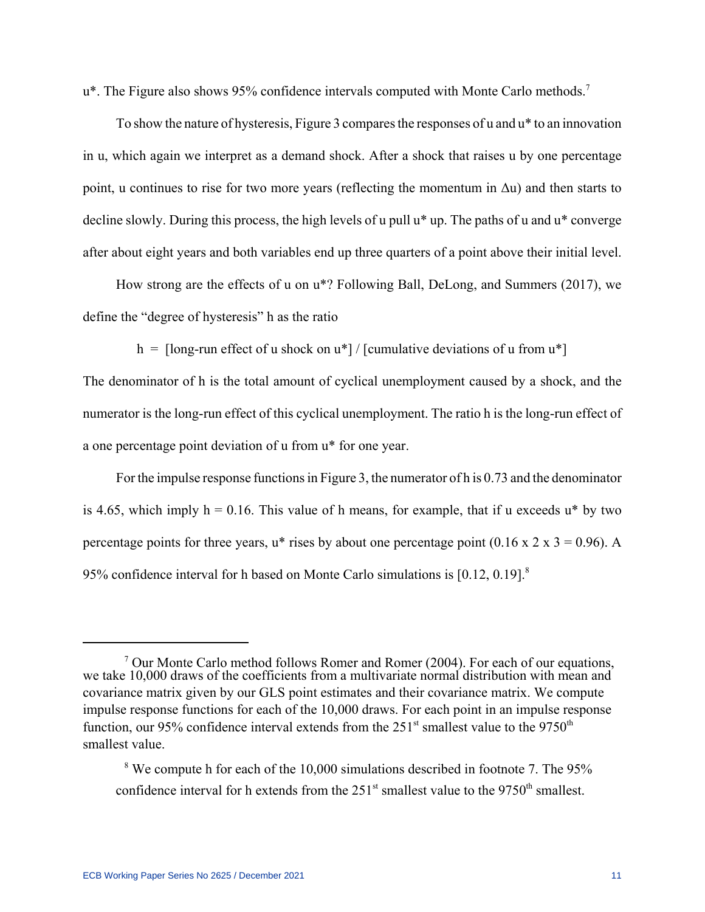u<sup>\*</sup>. The Figure also shows 95% confidence intervals computed with Monte Carlo methods.<sup>7</sup>

To show the nature of hysteresis, Figure 3 compares the responses of u and u\* to an innovation in u, which again we interpret as a demand shock. After a shock that raises u by one percentage point, u continues to rise for two more years (reflecting the momentum in  $\Delta u$ ) and then starts to decline slowly. During this process, the high levels of u pull u\* up. The paths of u and u\* converge after about eight years and both variables end up three quarters of a point above their initial level.

How strong are the effects of u on u\*? Following Ball, DeLong, and Summers (2017), we define the "degree of hysteresis" h as the ratio

h =  $\lceil \ln p \rceil$  effect of u shock on  $u^*$  /  $\lceil \ln p \rceil$  (cumulative deviations of u from  $u^*$ )

The denominator of h is the total amount of cyclical unemployment caused by a shock, and the numerator is the long-run effect of this cyclical unemployment. The ratio h is the long-run effect of a one percentage point deviation of u from u\* for one year.

For the impulse response functions in Figure 3, the numerator of h is 0.73 and the denominator is 4.65, which imply  $h = 0.16$ . This value of h means, for example, that if u exceeds  $u^*$  by two percentage points for three years,  $u^*$  rises by about one percentage point (0.16 x 2 x 3 = 0.96). A 95% confidence interval for h based on Monte Carlo simulations is [0.12, 0.19].8

<sup>&</sup>lt;sup>7</sup> Our Monte Carlo method follows Romer and Romer (2004). For each of our equations, we take 10,000 draws of the coefficients from a multivariate normal distribution with mean and covariance matrix given by our GLS point estimates and their covariance matrix. We compute impulse response functions for each of the 10,000 draws. For each point in an impulse response function, our 95% confidence interval extends from the  $251<sup>st</sup>$  smallest value to the 9750<sup>th</sup> smallest value.

<sup>&</sup>lt;sup>8</sup> We compute h for each of the 10,000 simulations described in footnote 7. The 95% confidence interval for h extends from the  $251<sup>st</sup>$  smallest value to the  $9750<sup>th</sup>$  smallest.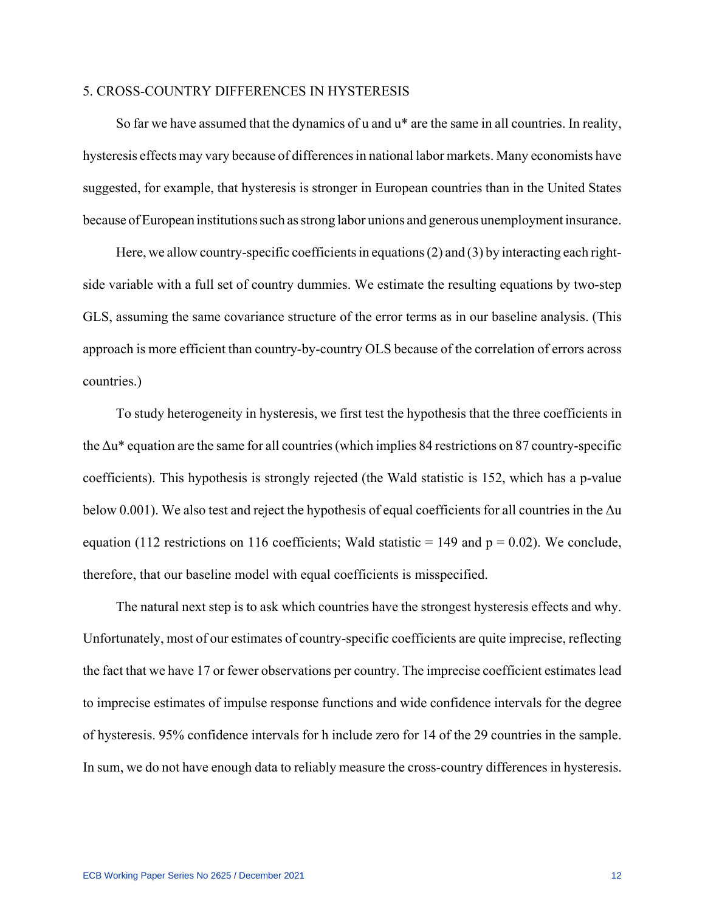#### 5. CROSS-COUNTRY DIFFERENCES IN HYSTERESIS

So far we have assumed that the dynamics of u and u\* are the same in all countries. In reality, hysteresis effects may vary because of differences in national labor markets. Many economists have suggested, for example, that hysteresis is stronger in European countries than in the United States because of European institutions such as strong labor unions and generous unemployment insurance.

Here, we allow country-specific coefficients in equations (2) and (3) by interacting each rightside variable with a full set of country dummies. We estimate the resulting equations by two-step GLS, assuming the same covariance structure of the error terms as in our baseline analysis. (This approach is more efficient than country-by-country OLS because of the correlation of errors across countries.)

To study heterogeneity in hysteresis, we first test the hypothesis that the three coefficients in the Δu\* equation are the same for all countries (which implies 84 restrictions on 87 country-specific coefficients). This hypothesis is strongly rejected (the Wald statistic is 152, which has a p-value below 0.001). We also test and reject the hypothesis of equal coefficients for all countries in the  $\Delta u$ equation (112 restrictions on 116 coefficients; Wald statistic = 149 and  $p = 0.02$ ). We conclude, therefore, that our baseline model with equal coefficients is misspecified.

The natural next step is to ask which countries have the strongest hysteresis effects and why. Unfortunately, most of our estimates of country-specific coefficients are quite imprecise, reflecting the fact that we have 17 or fewer observations per country. The imprecise coefficient estimates lead to imprecise estimates of impulse response functions and wide confidence intervals for the degree of hysteresis. 95% confidence intervals for h include zero for 14 of the 29 countries in the sample. In sum, we do not have enough data to reliably measure the cross-country differences in hysteresis.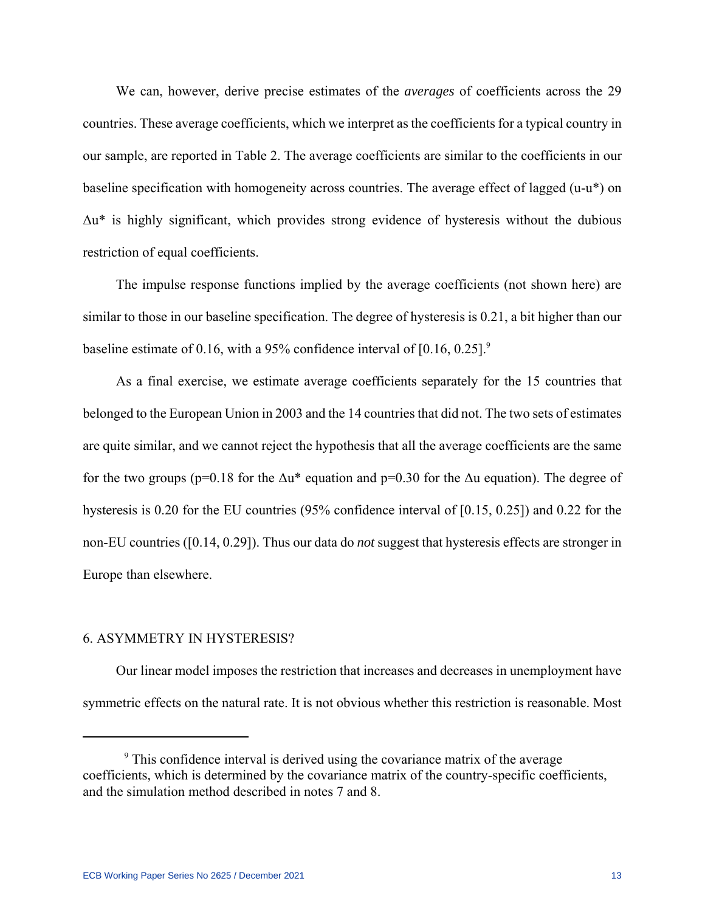We can, however, derive precise estimates of the *averages* of coefficients across the 29 countries. These average coefficients, which we interpret as the coefficients for a typical country in our sample, are reported in Table 2. The average coefficients are similar to the coefficients in our baseline specification with homogeneity across countries. The average effect of lagged (u-u\*) on Δu\* is highly significant, which provides strong evidence of hysteresis without the dubious restriction of equal coefficients.

The impulse response functions implied by the average coefficients (not shown here) are similar to those in our baseline specification. The degree of hysteresis is 0.21, a bit higher than our baseline estimate of 0.16, with a 95% confidence interval of  $[0.16, 0.25]$ <sup>9</sup>

As a final exercise, we estimate average coefficients separately for the 15 countries that belonged to the European Union in 2003 and the 14 countries that did not. The two sets of estimates are quite similar, and we cannot reject the hypothesis that all the average coefficients are the same for the two groups (p=0.18 for the  $\Delta u^*$  equation and p=0.30 for the  $\Delta u$  equation). The degree of hysteresis is 0.20 for the EU countries (95% confidence interval of [0.15, 0.25]) and 0.22 for the non-EU countries ([0.14, 0.29]). Thus our data do *not* suggest that hysteresis effects are stronger in Europe than elsewhere.

#### 6. ASYMMETRY IN HYSTERESIS?

Our linear model imposes the restriction that increases and decreases in unemployment have symmetric effects on the natural rate. It is not obvious whether this restriction is reasonable. Most

<sup>&</sup>lt;sup>9</sup> This confidence interval is derived using the covariance matrix of the average coefficients, which is determined by the covariance matrix of the country-specific coefficients, and the simulation method described in notes 7 and 8.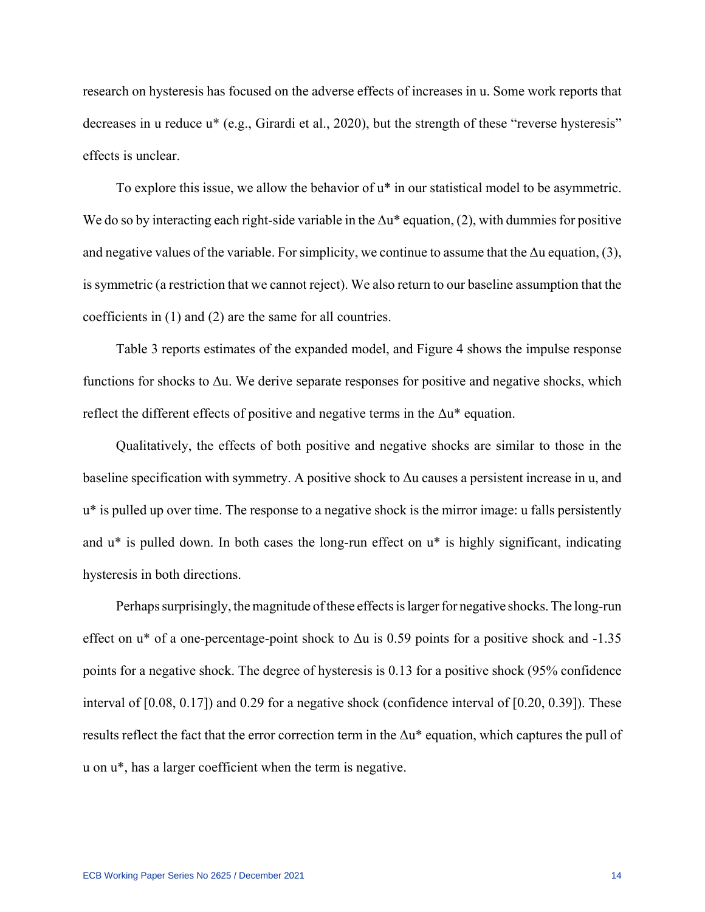research on hysteresis has focused on the adverse effects of increases in u. Some work reports that decreases in u reduce u\* (e.g., Girardi et al., 2020), but the strength of these "reverse hysteresis" effects is unclear.

To explore this issue, we allow the behavior of u\* in our statistical model to be asymmetric. We do so by interacting each right-side variable in the  $\Delta u^*$  equation, (2), with dummies for positive and negative values of the variable. For simplicity, we continue to assume that the  $\Delta u$  equation, (3), is symmetric (a restriction that we cannot reject). We also return to our baseline assumption that the coefficients in (1) and (2) are the same for all countries.

Table 3 reports estimates of the expanded model, and Figure 4 shows the impulse response functions for shocks to  $\Delta u$ . We derive separate responses for positive and negative shocks, which reflect the different effects of positive and negative terms in the  $\Delta u^*$  equation.

Qualitatively, the effects of both positive and negative shocks are similar to those in the baseline specification with symmetry. A positive shock to Δu causes a persistent increase in u, and u\* is pulled up over time. The response to a negative shock is the mirror image: u falls persistently and u\* is pulled down. In both cases the long-run effect on u\* is highly significant, indicating hysteresis in both directions.

Perhaps surprisingly, the magnitude of these effects is larger for negative shocks. The long-run effect on  $u^*$  of a one-percentage-point shock to  $\Delta u$  is 0.59 points for a positive shock and -1.35 points for a negative shock. The degree of hysteresis is 0.13 for a positive shock (95% confidence interval of [0.08, 0.17]) and 0.29 for a negative shock (confidence interval of [0.20, 0.39]). These results reflect the fact that the error correction term in the  $\Delta u^*$  equation, which captures the pull of u on u\*, has a larger coefficient when the term is negative.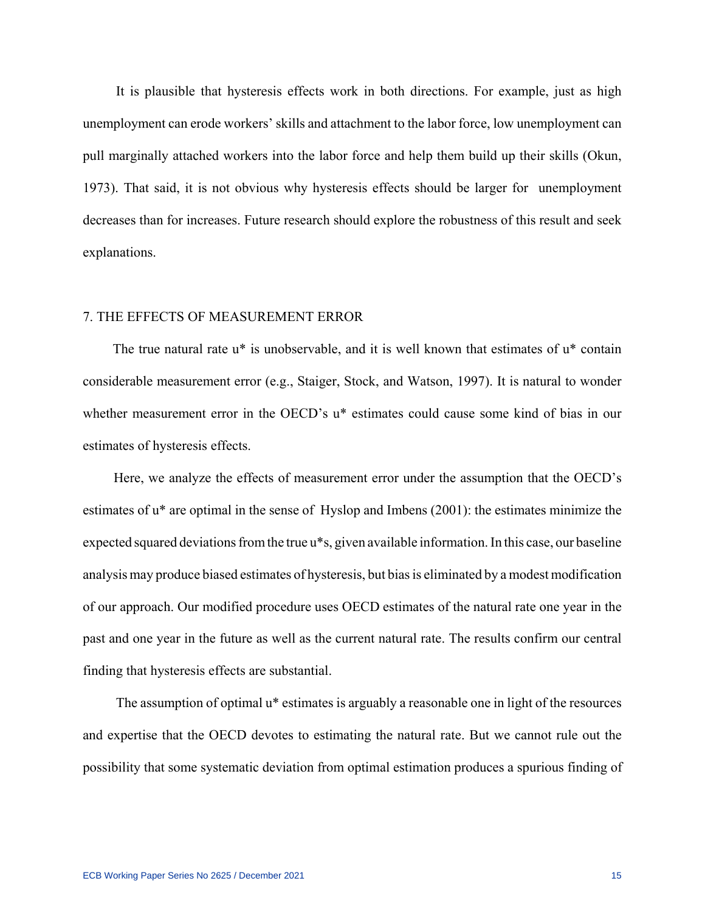It is plausible that hysteresis effects work in both directions. For example, just as high unemployment can erode workers' skills and attachment to the labor force, low unemployment can pull marginally attached workers into the labor force and help them build up their skills (Okun, 1973). That said, it is not obvious why hysteresis effects should be larger for unemployment decreases than for increases. Future research should explore the robustness of this result and seek explanations.

## 7. THE EFFECTS OF MEASUREMENT ERROR

The true natural rate u<sup>\*</sup> is unobservable, and it is well known that estimates of u<sup>\*</sup> contain considerable measurement error (e.g., Staiger, Stock, and Watson, 1997). It is natural to wonder whether measurement error in the OECD's u\* estimates could cause some kind of bias in our estimates of hysteresis effects.

 Here, we analyze the effects of measurement error under the assumption that the OECD's estimates of u\* are optimal in the sense of Hyslop and Imbens (2001): the estimates minimize the expected squared deviations from the true u\*s, given available information. In this case, our baseline analysis may produce biased estimates of hysteresis, but bias is eliminated by a modest modification of our approach. Our modified procedure uses OECD estimates of the natural rate one year in the past and one year in the future as well as the current natural rate. The results confirm our central finding that hysteresis effects are substantial.

The assumption of optimal u\* estimates is arguably a reasonable one in light of the resources and expertise that the OECD devotes to estimating the natural rate. But we cannot rule out the possibility that some systematic deviation from optimal estimation produces a spurious finding of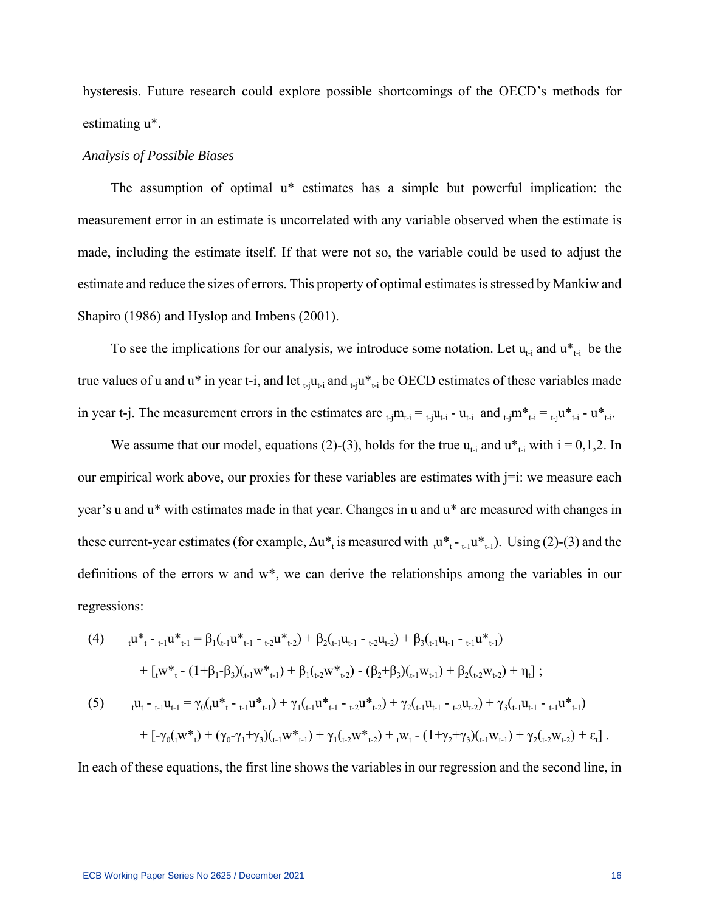hysteresis. Future research could explore possible shortcomings of the OECD's methods for estimating u\*.

#### *Analysis of Possible Biases*

The assumption of optimal u\* estimates has a simple but powerful implication: the measurement error in an estimate is uncorrelated with any variable observed when the estimate is made, including the estimate itself. If that were not so, the variable could be used to adjust the estimate and reduce the sizes of errors. This property of optimal estimates is stressed by Mankiw and Shapiro (1986) and Hyslop and Imbens (2001).

To see the implications for our analysis, we introduce some notation. Let  $u_{t-1}$  and  $u_{t-1}^*$  be the true values of u and u\* in year t-i, and let  $_{t-1}u_{t-1}$  and  $_{t-1}u_{t-1}$  be OECD estimates of these variables made in year t-j. The measurement errors in the estimates are  $_{t_i}m_{t_i} =_{t_i}u_{t_i} - u_{t_i}$  and  $_{t_i}m_{t_i} =_{t_i}u_{t_i} - u_{t_i}$ .

We assume that our model, equations (2)-(3), holds for the true  $u_{t-i}$  and  $u_{t-i}$  with  $i = 0,1,2$ . In our empirical work above, our proxies for these variables are estimates with  $j=i$ : we measure each year's u and u\* with estimates made in that year. Changes in u and u\* are measured with changes in these current-year estimates (for example,  $\Delta u^*$  is measured with  $\mu^*$   $\tau_{t-1}u^*$   $\tau_{t-1}$ ). Using (2)-(3) and the definitions of the errors w and w\*, we can derive the relationships among the variables in our regressions:

(4) 
$$
{}_{t}u_{t}^{*} - {}_{t-1}u_{t-1}^{*} = \beta_{1}({}_{t-1}u_{t-1}^{*} - {}_{t-2}u_{t-2}^{*}) + \beta_{2}({}_{t-1}u_{t-1} - {}_{t-2}u_{t-2}) + \beta_{3}({}_{t-1}u_{t-1} - {}_{t-1}u_{t-1}^{*})
$$

$$
+ \left[ {}_{t}w_{t}^{*} - (1+\beta_{1}-\beta_{3})({}_{t-1}w_{t-1}^{*}) + \beta_{1}({}_{t-2}w_{t-2}^{*}) - (\beta_{2}+\beta_{3})({}_{t-1}w_{t-1}) + \beta_{2}({}_{t-2}w_{t-2}) + \eta_{t} \right];
$$
  
\n(5) 
$$
{}_{t}u_{t} - {}_{t-1}u_{t-1} = \gamma_{0}({}_{t}u_{t}^{*} - {}_{t-1}u_{t-1}^{*}) + \gamma_{1}({}_{t-1}u_{t}^{*} - {}_{t-2}u_{t-2}^{*}) + \gamma_{2}({}_{t-1}u_{t-1} - {}_{t-2}u_{t-2}) + \gamma_{3}({}_{t-1}u_{t-1} - {}_{t-1}u_{t-1}^{*})
$$

$$
+ \left[ -\gamma_{0}({}_{t}w_{t}^{*}) + (\gamma_{0} - \gamma_{1} + \gamma_{3})({}_{t-1}w_{t-1}^{*}) + \gamma_{1}({}_{t-2}w_{t-2}^{*}) + {}_{t}w_{t} - (1+\gamma_{2} + \gamma_{3})({}_{t-1}w_{t-1}) + \gamma_{2}({}_{t-2}w_{t-2}) + \epsilon_{t} \right].
$$

In each of these equations, the first line shows the variables in our regression and the second line, in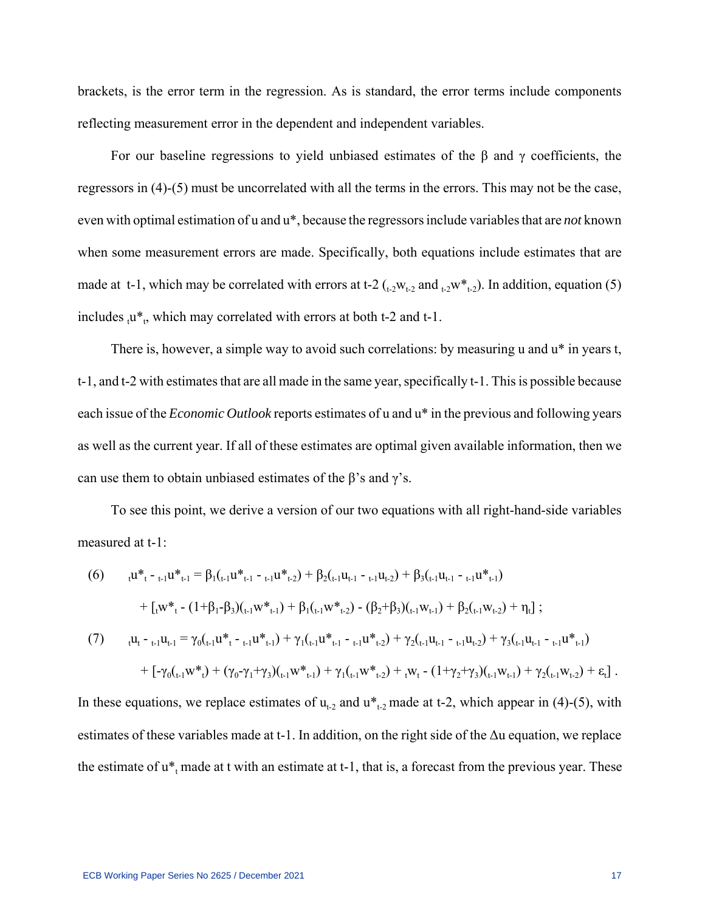brackets, is the error term in the regression. As is standard, the error terms include components reflecting measurement error in the dependent and independent variables.

For our baseline regressions to yield unbiased estimates of the  $\beta$  and  $\gamma$  coefficients, the regressors in (4)-(5) must be uncorrelated with all the terms in the errors. This may not be the case, even with optimal estimation of u and u\*, because the regressors include variables that are *not* known when some measurement errors are made. Specifically, both equations include estimates that are made at t-1, which may be correlated with errors at t-2  $_{(-2}W_{t-2}$  and  $_{(-2}W_{t-2})$ . In addition, equation (5) includes  $_{t}u^*$ , which may correlated with errors at both t-2 and t-1.

There is, however, a simple way to avoid such correlations: by measuring u and  $u^*$  in years t, t-1, and t-2 with estimates that are all made in the same year, specifically t-1. This is possible because each issue of the *Economic Outlook* reports estimates of u and u\* in the previous and following years as well as the current year. If all of these estimates are optimal given available information, then we can use them to obtain unbiased estimates of the  $\beta$ 's and  $\gamma$ 's.

To see this point, we derive a version of our two equations with all right-hand-side variables measured at t-1:

(6) 
$$
{}_{t}u_{t}^{*} - {}_{t-1}u_{t-1}^{*} = \beta_{1}({}_{t-1}u_{t-1}^{*} - {}_{t-1}u_{t-2}^{*}) + \beta_{2}({}_{t-1}u_{t-1} - {}_{t-1}u_{t-2}^{*}) + \beta_{3}({}_{t-1}u_{t-1} - {}_{t-1}u_{t-1}^{*})
$$

$$
+ [{}_{t}w_{t}^{*} - (1+\beta_{1}-\beta_{3})({}_{t-1}w_{t-1}^{*}) + \beta_{1}({}_{t-1}w_{t-2}^{*}) - (\beta_{2}+\beta_{3})({}_{t-1}w_{t-1}) + \beta_{2}({}_{t-1}w_{t-2}) + \eta_{t}] ;
$$
  
(7) 
$$
{}_{t}u_{t} - {}_{t-1}u_{t-1} = \gamma_{0}({}_{t-1}u_{t}^{*} - {}_{t-1}u_{t}^{*} - {}_{t-1}u_{t}^{*} - \eta_{t-1}u_{t-1}^{*}) + \gamma_{1}({}_{t-1}u_{t}^{*} - {}_{t-1}u_{t}^{*} - \eta_{t-2}) + \gamma_{2}({}_{t-1}u_{t-1} - {}_{t-1}u_{t-2}) + \gamma_{3}({}_{t-1}u_{t-1} - {}_{t-1}u_{t-1}^{*})
$$

$$
+ [-\gamma_{0}({}_{t-1}w_{t}^{*}) + (\gamma_{0}-\gamma_{1}+\gamma_{3})({}_{t-1}w_{t}^{*} - \eta_{t-1}u_{t-2}^{*}) + \gamma_{1}({}_{t-1}w_{t-2}^{*}) + {}_{t}w_{t} - (1+\gamma_{2}+\gamma_{3})({}_{t-1}w_{t-1}) + \gamma_{2}({}_{t-1}w_{t-2}) + \varepsilon_{t}].
$$

In these equations, we replace estimates of  $u_{t-2}$  and  $u_{t-2}^*$  made at t-2, which appear in (4)-(5), with estimates of these variables made at t-1. In addition, on the right side of the Δu equation, we replace the estimate of  $u_{t}$  made at t with an estimate at t-1, that is, a forecast from the previous year. These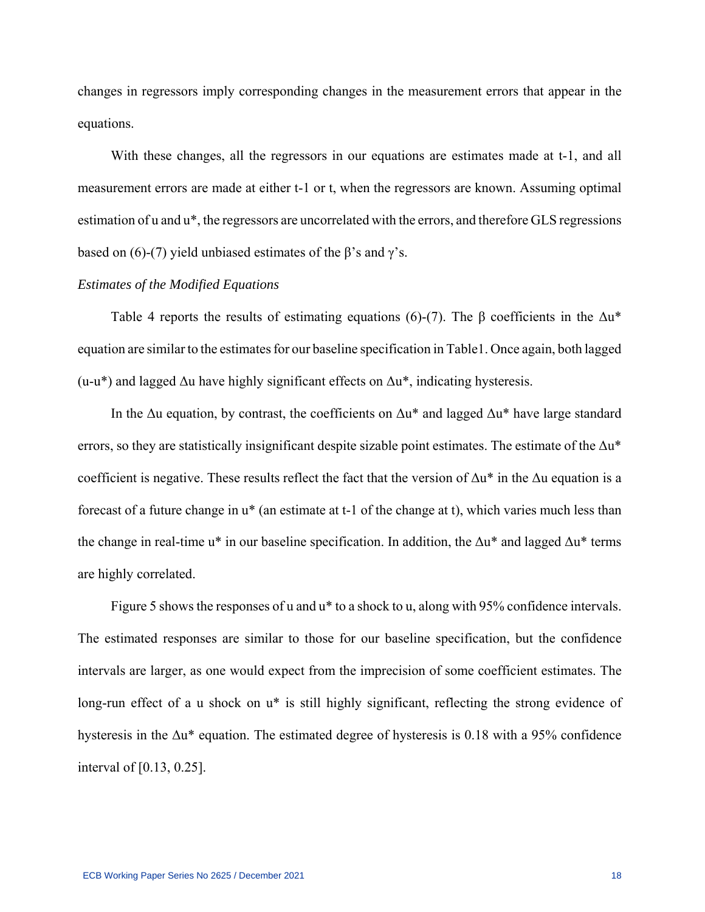changes in regressors imply corresponding changes in the measurement errors that appear in the equations.

With these changes, all the regressors in our equations are estimates made at t-1, and all measurement errors are made at either t-1 or t, when the regressors are known. Assuming optimal estimation of u and u\*, the regressors are uncorrelated with the errors, and therefore GLS regressions based on (6)-(7) yield unbiased estimates of the  $\beta$ 's and  $\gamma$ 's.

# *Estimates of the Modified Equations*

Table 4 reports the results of estimating equations (6)-(7). The  $\beta$  coefficients in the  $\Delta u^*$ equation are similar to the estimates for our baseline specification in Table1. Once again, both lagged (u-u<sup>\*</sup>) and lagged  $\Delta u$  have highly significant effects on  $\Delta u^*$ , indicating hysteresis.

In the  $\Delta u$  equation, by contrast, the coefficients on  $\Delta u^*$  and lagged  $\Delta u^*$  have large standard errors, so they are statistically insignificant despite sizable point estimates. The estimate of the  $\Delta u^*$ coefficient is negative. These results reflect the fact that the version of  $\Delta u^*$  in the  $\Delta u$  equation is a forecast of a future change in u\* (an estimate at t-1 of the change at t), which varies much less than the change in real-time u\* in our baseline specification. In addition, the  $\Delta u^*$  and lagged  $\Delta u^*$  terms are highly correlated.

Figure 5 shows the responses of u and  $u^*$  to a shock to u, along with 95% confidence intervals. The estimated responses are similar to those for our baseline specification, but the confidence intervals are larger, as one would expect from the imprecision of some coefficient estimates. The long-run effect of a u shock on u<sup>\*</sup> is still highly significant, reflecting the strong evidence of hysteresis in the  $\Delta u^*$  equation. The estimated degree of hysteresis is 0.18 with a 95% confidence interval of [0.13, 0.25].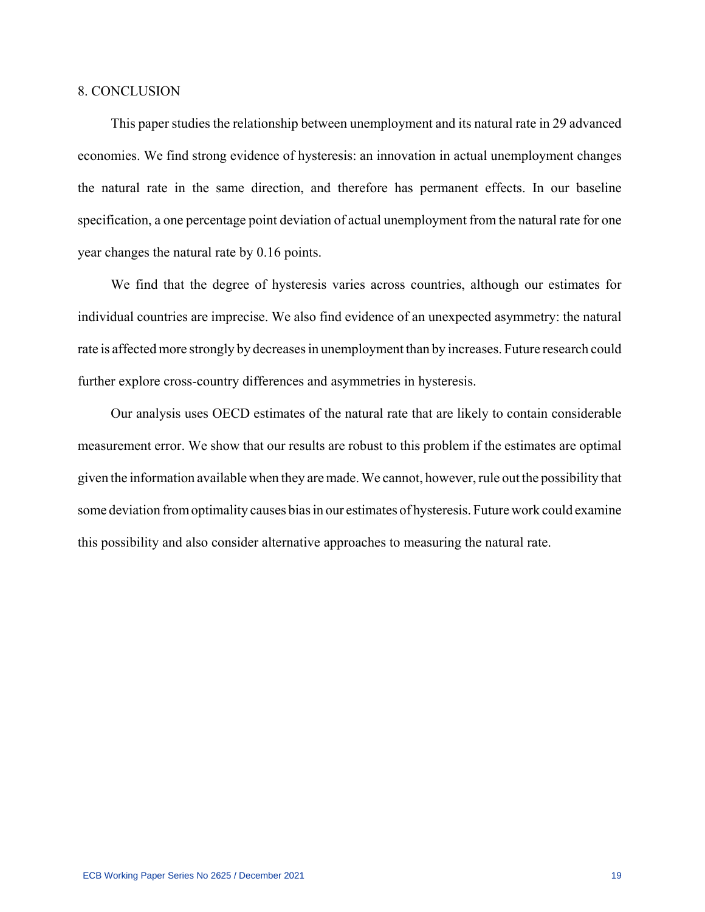## 8. CONCLUSION

This paper studies the relationship between unemployment and its natural rate in 29 advanced economies. We find strong evidence of hysteresis: an innovation in actual unemployment changes the natural rate in the same direction, and therefore has permanent effects. In our baseline specification, a one percentage point deviation of actual unemployment from the natural rate for one year changes the natural rate by 0.16 points.

We find that the degree of hysteresis varies across countries, although our estimates for individual countries are imprecise. We also find evidence of an unexpected asymmetry: the natural rate is affected more strongly by decreases in unemployment than by increases. Future research could further explore cross-country differences and asymmetries in hysteresis.

Our analysis uses OECD estimates of the natural rate that are likely to contain considerable measurement error. We show that our results are robust to this problem if the estimates are optimal given the information available when they are made. We cannot, however, rule out the possibility that some deviation from optimality causes bias in our estimates of hysteresis. Future work could examine this possibility and also consider alternative approaches to measuring the natural rate.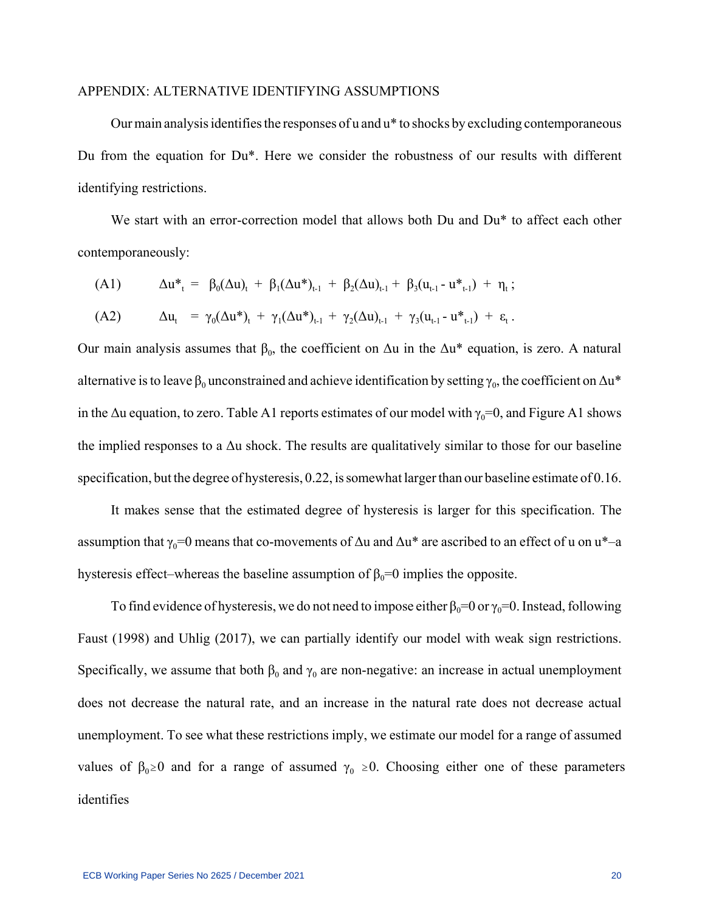#### APPENDIX: ALTERNATIVE IDENTIFYING ASSUMPTIONS

Our main analysis identifies the responses of u and u\* to shocks by excluding contemporaneous Du from the equation for Du\*. Here we consider the robustness of our results with different identifying restrictions.

We start with an error-correction model that allows both Du and Du<sup>\*</sup> to affect each other contemporaneously:

(A1) 
$$
\Delta u^*_{t} = \beta_0(\Delta u)_{t} + \beta_1(\Delta u^*)_{t-1} + \beta_2(\Delta u)_{t-1} + \beta_3(u_{t-1} - u^*)_{t-1}) + \eta_t ;
$$
  
(A2) 
$$
\Delta u_{t} = \gamma_0(\Delta u^*)_{t} + \gamma_1(\Delta u^*)_{t-1} + \gamma_2(\Delta u)_{t-1} + \gamma_3(u_{t-1} - u^*)_{t-1}) + \varepsilon_t.
$$

Our main analysis assumes that  $β_0$ , the coefficient on  $Δu$  in the  $Δu^*$  equation, is zero. A natural alternative is to leave  $\beta_0$  unconstrained and achieve identification by setting  $\gamma_0$ , the coefficient on  $\Delta {\tt u}^*$ in the  $\Delta u$  equation, to zero. Table A1 reports estimates of our model with  $\gamma_0=0$ , and Figure A1 shows the implied responses to a  $\Delta u$  shock. The results are qualitatively similar to those for our baseline specification, but the degree of hysteresis, 0.22, is somewhat larger than our baseline estimate of 0.16.

It makes sense that the estimated degree of hysteresis is larger for this specification. The assumption that  $\gamma_0=0$  means that co-movements of  $\Delta u$  and  $\Delta u^*$  are ascribed to an effect of u on  $u^*-a$ hysteresis effect–whereas the baseline assumption of  $\beta_0=0$  implies the opposite.

To find evidence of hysteresis, we do not need to impose either  $\beta_0=0$  or  $\gamma_0=0$ . Instead, following Faust (1998) and Uhlig (2017), we can partially identify our model with weak sign restrictions. Specifically, we assume that both  $\beta_0$  and  $\gamma_0$  are non-negative: an increase in actual unemployment does not decrease the natural rate, and an increase in the natural rate does not decrease actual unemployment. To see what these restrictions imply, we estimate our model for a range of assumed values of  $\beta_0 \ge 0$  and for a range of assumed  $\gamma_0 \ge 0$ . Choosing either one of these parameters identifies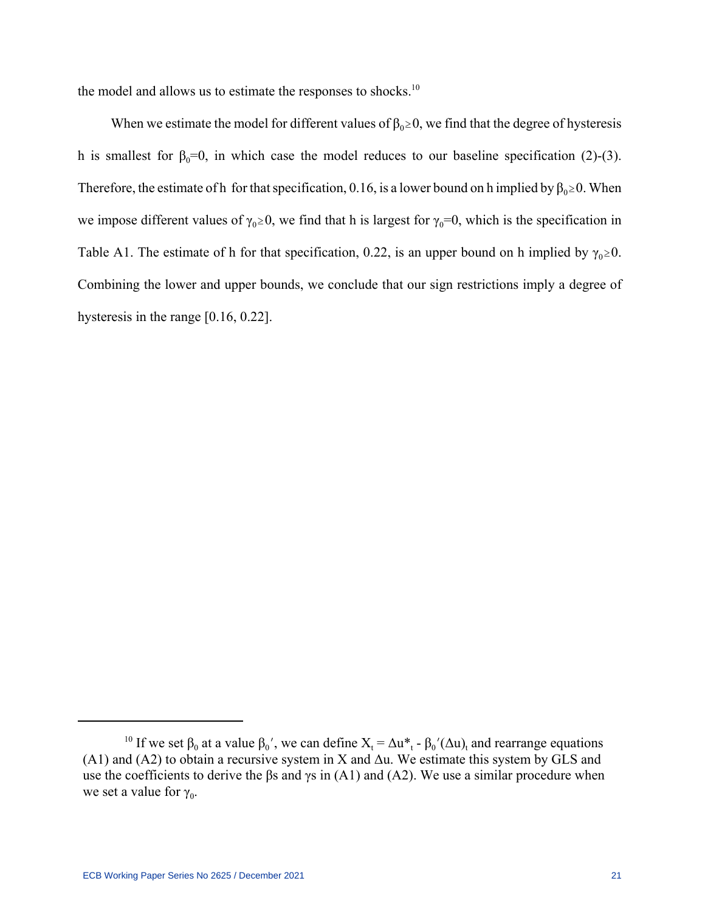the model and allows us to estimate the responses to shocks.<sup>10</sup>

When we estimate the model for different values of  $\beta_0 \ge 0$ , we find that the degree of hysteresis h is smallest for  $\beta_0=0$ , in which case the model reduces to our baseline specification (2)-(3). Therefore, the estimate of h for that specification, 0.16, is a lower bound on h implied by  $\beta_0 \ge 0$ . When we impose different values of  $\gamma_0 \ge 0$ , we find that h is largest for  $\gamma_0=0$ , which is the specification in Table A1. The estimate of h for that specification, 0.22, is an upper bound on h implied by  $\gamma_0 \ge 0$ . Combining the lower and upper bounds, we conclude that our sign restrictions imply a degree of hysteresis in the range [0.16, 0.22].

<sup>&</sup>lt;sup>10</sup> If we set  $\beta_0$  at a value  $\beta_0'$ , we can define  $X_t = \Delta u^*$  -  $\beta_0'(\Delta u)$  and rearrange equations (A1) and (A2) to obtain a recursive system in X and  $\Delta u$ . We estimate this system by GLS and use the coefficients to derive the  $\beta s$  and  $\gamma s$  in (A1) and (A2). We use a similar procedure when we set a value for  $\gamma_0$ .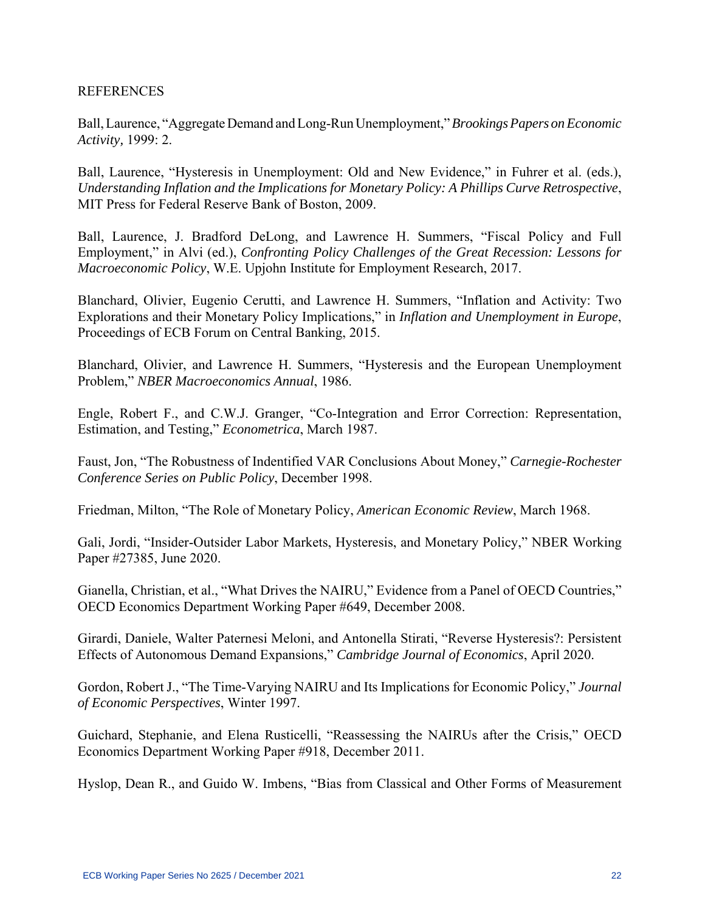# **REFERENCES**

Ball, Laurence, "Aggregate Demand and Long-Run Unemployment," *Brookings Papers on Economic Activity,* 1999: 2.

Ball, Laurence, "Hysteresis in Unemployment: Old and New Evidence," in Fuhrer et al. (eds.), *Understanding Inflation and the Implications for Monetary Policy: A Phillips Curve Retrospective*, MIT Press for Federal Reserve Bank of Boston, 2009.

Ball, Laurence, J. Bradford DeLong, and Lawrence H. Summers, "Fiscal Policy and Full Employment," in Alvi (ed.), *Confronting Policy Challenges of the Great Recession: Lessons for Macroeconomic Policy*, W.E. Upjohn Institute for Employment Research, 2017.

Blanchard, Olivier, Eugenio Cerutti, and Lawrence H. Summers, "Inflation and Activity: Two Explorations and their Monetary Policy Implications," in *Inflation and Unemployment in Europe*, Proceedings of ECB Forum on Central Banking, 2015.

Blanchard, Olivier, and Lawrence H. Summers, "Hysteresis and the European Unemployment Problem," *NBER Macroeconomics Annual*, 1986.

Engle, Robert F., and C.W.J. Granger, "Co-Integration and Error Correction: Representation, Estimation, and Testing," *Econometrica*, March 1987.

Faust, Jon, "The Robustness of Indentified VAR Conclusions About Money," *Carnegie-Rochester Conference Series on Public Policy*, December 1998.

Friedman, Milton, "The Role of Monetary Policy, *American Economic Review*, March 1968.

Gali, Jordi, "Insider-Outsider Labor Markets, Hysteresis, and Monetary Policy," NBER Working Paper #27385, June 2020.

Gianella, Christian, et al., "What Drives the NAIRU," Evidence from a Panel of OECD Countries," OECD Economics Department Working Paper #649, December 2008.

Girardi, Daniele, Walter Paternesi Meloni, and Antonella Stirati, "Reverse Hysteresis?: Persistent Effects of Autonomous Demand Expansions," *Cambridge Journal of Economics*, April 2020.

Gordon, Robert J., "The Time-Varying NAIRU and Its Implications for Economic Policy," *Journal of Economic Perspectives*, Winter 1997.

Guichard, Stephanie, and Elena Rusticelli, "Reassessing the NAIRUs after the Crisis," OECD Economics Department Working Paper #918, December 2011.

Hyslop, Dean R., and Guido W. Imbens, "Bias from Classical and Other Forms of Measurement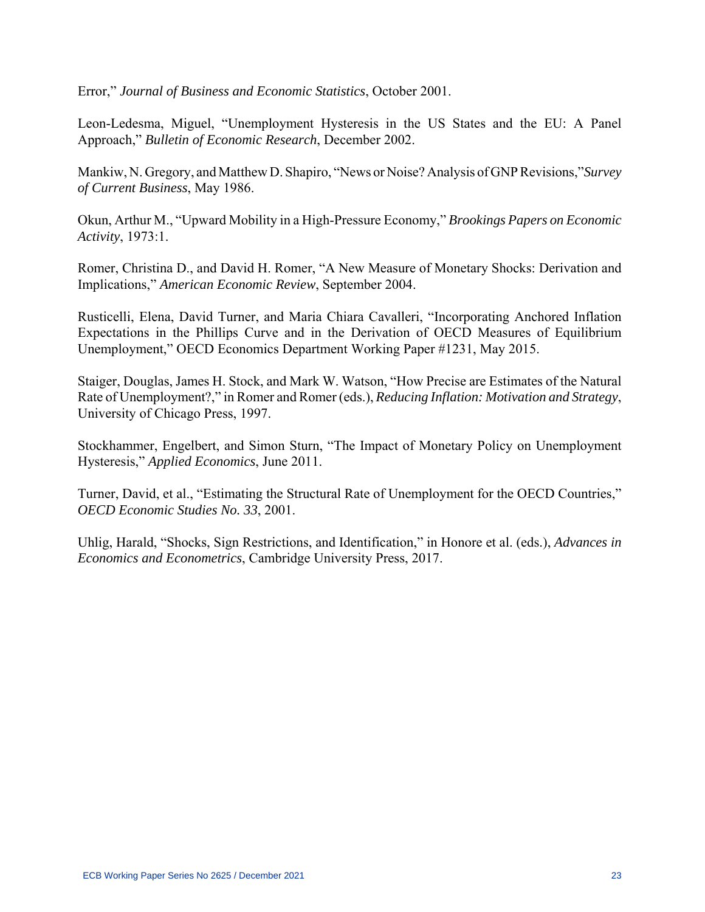Error," *Journal of Business and Economic Statistics*, October 2001.

Leon-Ledesma, Miguel, "Unemployment Hysteresis in the US States and the EU: A Panel Approach," *Bulletin of Economic Research*, December 2002.

Mankiw, N. Gregory, and Matthew D. Shapiro, "News or Noise? Analysis of GNP Revisions,"*Survey of Current Business*, May 1986.

Okun, Arthur M., "Upward Mobility in a High-Pressure Economy," *Brookings Papers on Economic Activity*, 1973:1.

Romer, Christina D., and David H. Romer, "A New Measure of Monetary Shocks: Derivation and Implications," *American Economic Review*, September 2004.

Rusticelli, Elena, David Turner, and Maria Chiara Cavalleri, "Incorporating Anchored Inflation Expectations in the Phillips Curve and in the Derivation of OECD Measures of Equilibrium Unemployment," OECD Economics Department Working Paper #1231, May 2015.

Staiger, Douglas, James H. Stock, and Mark W. Watson, "How Precise are Estimates of the Natural Rate of Unemployment?," in Romer and Romer (eds.), *Reducing Inflation: Motivation and Strategy*, University of Chicago Press, 1997.

Stockhammer, Engelbert, and Simon Sturn, "The Impact of Monetary Policy on Unemployment Hysteresis," *Applied Economics*, June 2011.

Turner, David, et al., "Estimating the Structural Rate of Unemployment for the OECD Countries," *OECD Economic Studies No. 33*, 2001.

Uhlig, Harald, "Shocks, Sign Restrictions, and Identification," in Honore et al. (eds.), *Advances in Economics and Econometrics*, Cambridge University Press, 2017.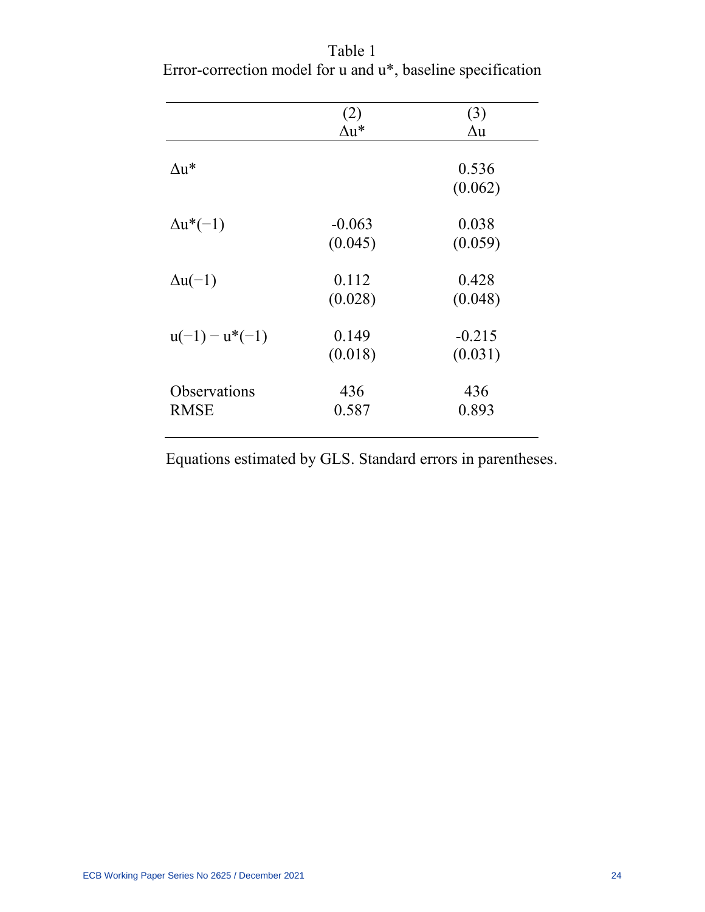|                  | (2)          | (3)        |
|------------------|--------------|------------|
|                  | $\Delta u^*$ | $\Delta u$ |
|                  |              |            |
| ∧u*              |              | 0.536      |
|                  |              | (0.062)    |
|                  |              |            |
| $\Delta u^*(-1)$ | $-0.063$     | 0.038      |
|                  | (0.045)      | (0.059)    |
|                  |              |            |
| $\Delta u(-1)$   | 0.112        | 0.428      |
|                  | (0.028)      | (0.048)    |
|                  |              |            |
| $u(-1) - u*(-1)$ | 0.149        | $-0.215$   |
|                  | (0.018)      | (0.031)    |
|                  |              |            |
| Observations     | 436          | 436        |
| <b>RMSE</b>      | 0.587        | 0.893      |
|                  |              |            |

Table 1 Error-correction model for u and u\*, baseline specification

Equations estimated by GLS. Standard errors in parentheses.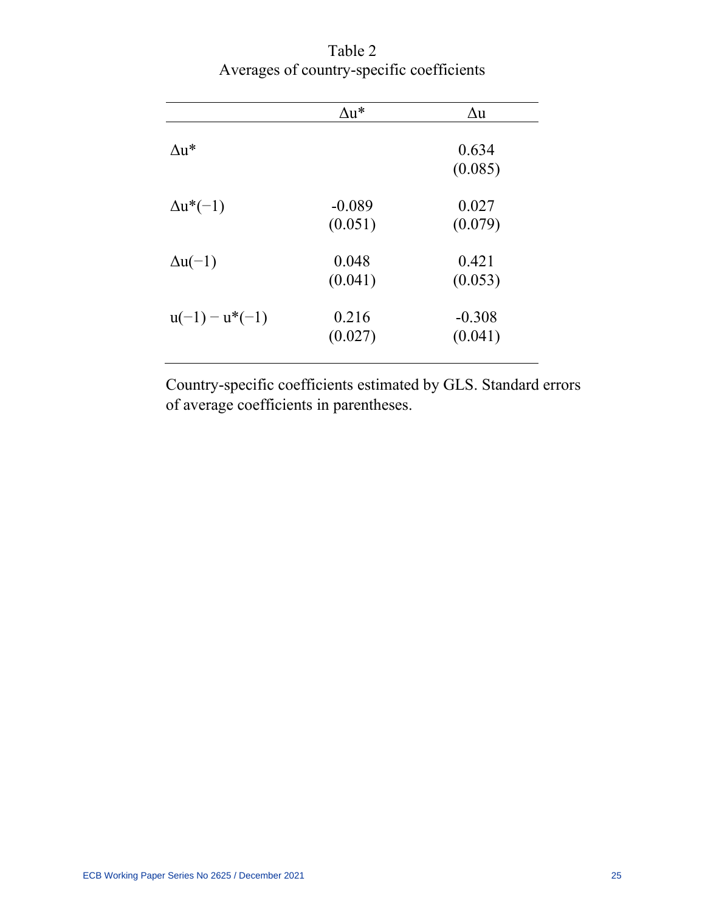|                  | $\Delta u^*$        | $\Delta u$          |
|------------------|---------------------|---------------------|
| $\Delta u^*$     |                     | 0.634<br>(0.085)    |
| $\Delta u^*(-1)$ | $-0.089$<br>(0.051) | 0.027<br>(0.079)    |
| $\Delta u(-1)$   | 0.048<br>(0.041)    | 0.421<br>(0.053)    |
| $u(-1) - u*(-1)$ | 0.216<br>(0.027)    | $-0.308$<br>(0.041) |

Table 2 Averages of country-specific coefficients

Country-specific coefficients estimated by GLS. Standard errors of average coefficients in parentheses.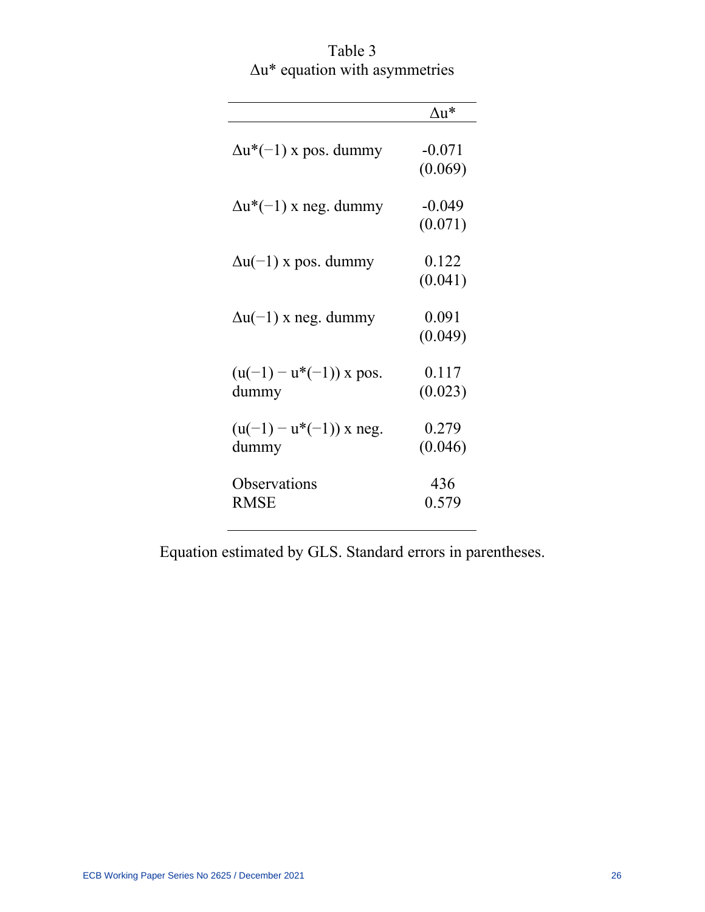Table 3 Δu\* equation with asymmetries

|                                    | $\Delta u^*$        |
|------------------------------------|---------------------|
| $\Delta u^*(-1)$ x pos. dummy      | $-0.071$<br>(0.069) |
| $\Delta u^*(-1)$ x neg. dummy      | $-0.049$<br>(0.071) |
| $\Delta u(-1)$ x pos. dummy        | 0.122<br>(0.041)    |
| $\Delta u(-1)$ x neg. dummy        | 0.091<br>(0.049)    |
| $(u(-1)-u*(-1))$ x pos.<br>dummy   | 0.117<br>(0.023)    |
| $(u(-1) - u*(-1))$ x neg.<br>dummy | 0.279<br>(0.046)    |
| Observations<br><b>RMSE</b>        | 436<br>0.579        |

Equation estimated by GLS. Standard errors in parentheses.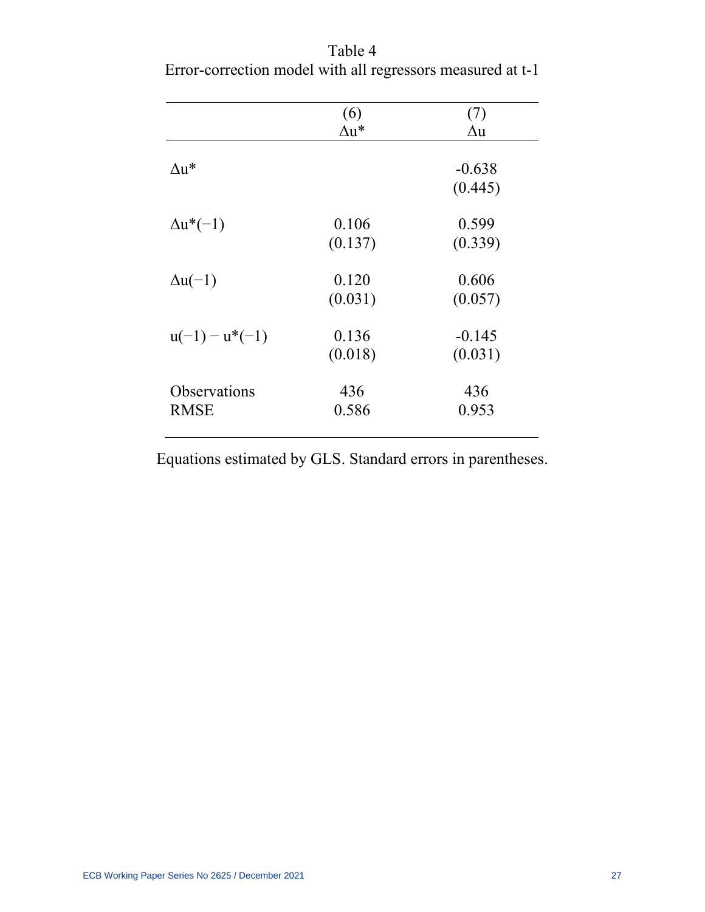|                  | (6)     | (7)        |
|------------------|---------|------------|
|                  | ∆u*     | $\Delta u$ |
|                  |         |            |
| $\Delta u^*$     |         | $-0.638$   |
|                  |         | (0.445)    |
|                  |         |            |
| $\Delta u^*(-1)$ | 0.106   | 0.599      |
|                  | (0.137) | (0.339)    |
|                  |         |            |
| $\Delta u(-1)$   | 0.120   | 0.606      |
|                  | (0.031) | (0.057)    |
|                  |         |            |
| $u(-1) - u*(-1)$ | 0.136   | $-0.145$   |
|                  | (0.018) | (0.031)    |
| Observations     | 436     | 436        |
|                  |         |            |
| <b>RMSE</b>      | 0.586   | 0.953      |
|                  |         |            |

Table 4 Error-correction model with all regressors measured at t-1

Equations estimated by GLS. Standard errors in parentheses.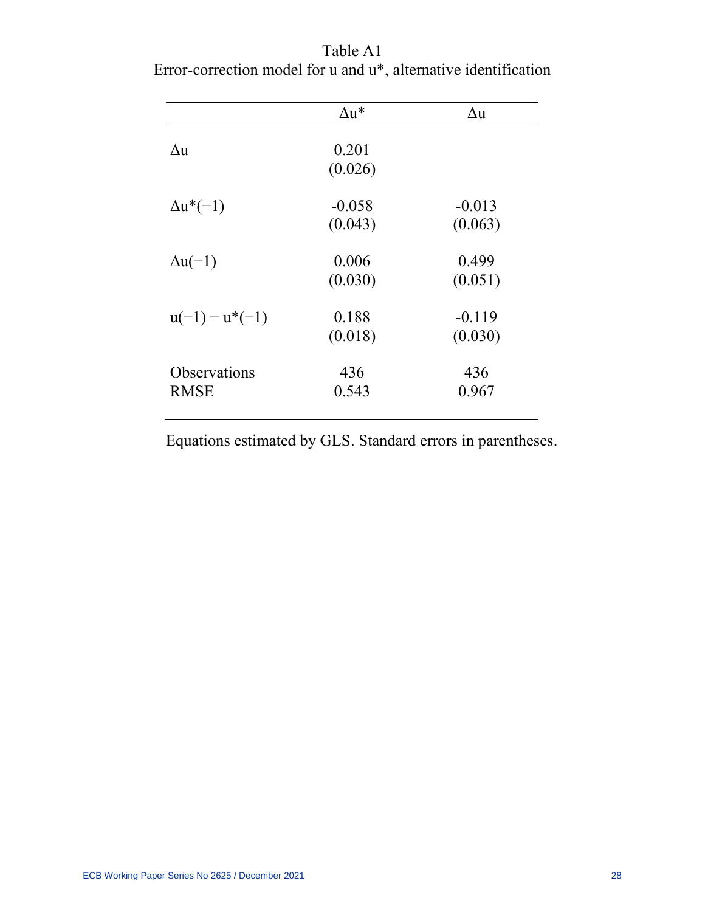|                  | $\Delta u^*$ | Δu       |
|------------------|--------------|----------|
|                  |              |          |
| Δu               | 0.201        |          |
|                  | (0.026)      |          |
|                  |              |          |
| $\Delta u^*(-1)$ | $-0.058$     | $-0.013$ |
|                  | (0.043)      | (0.063)  |
| $\Delta u(-1)$   | 0.006        | 0.499    |
|                  | (0.030)      | (0.051)  |
|                  |              |          |
| $u(-1) - u*(-1)$ | 0.188        | $-0.119$ |
|                  | (0.018)      | (0.030)  |
| Observations     | 436          | 436      |
| <b>RMSE</b>      | 0.543        | 0.967    |
|                  |              |          |

Table A1 Error-correction model for u and u\*, alternative identification

Equations estimated by GLS. Standard errors in parentheses.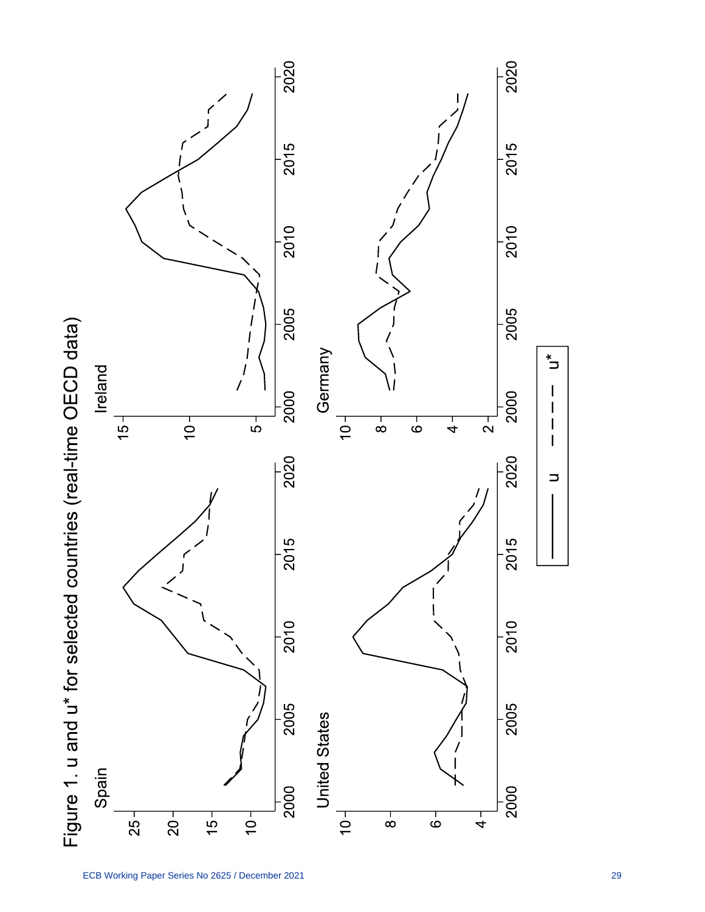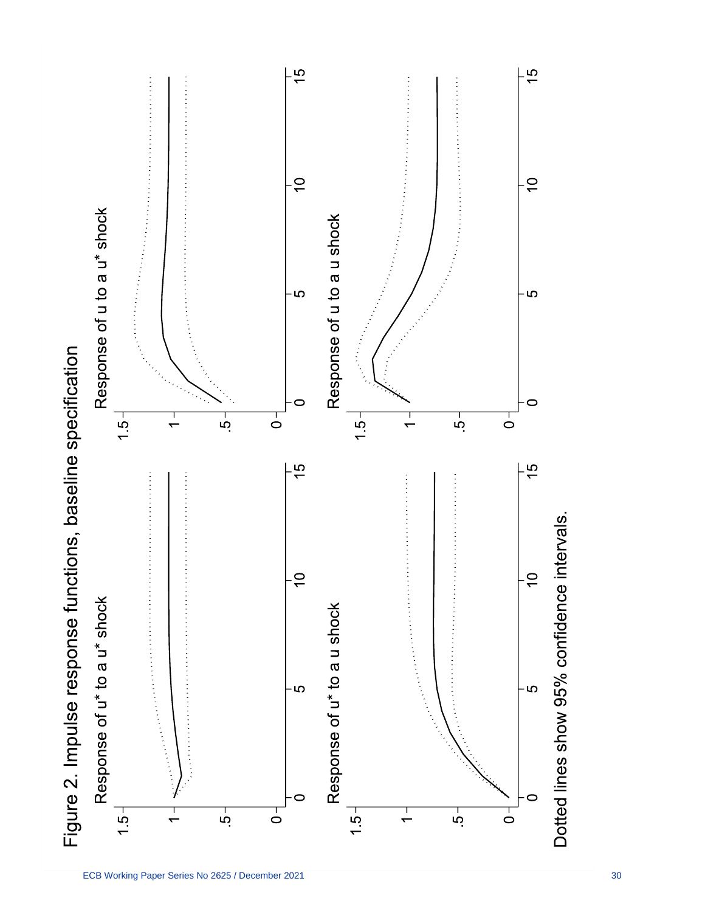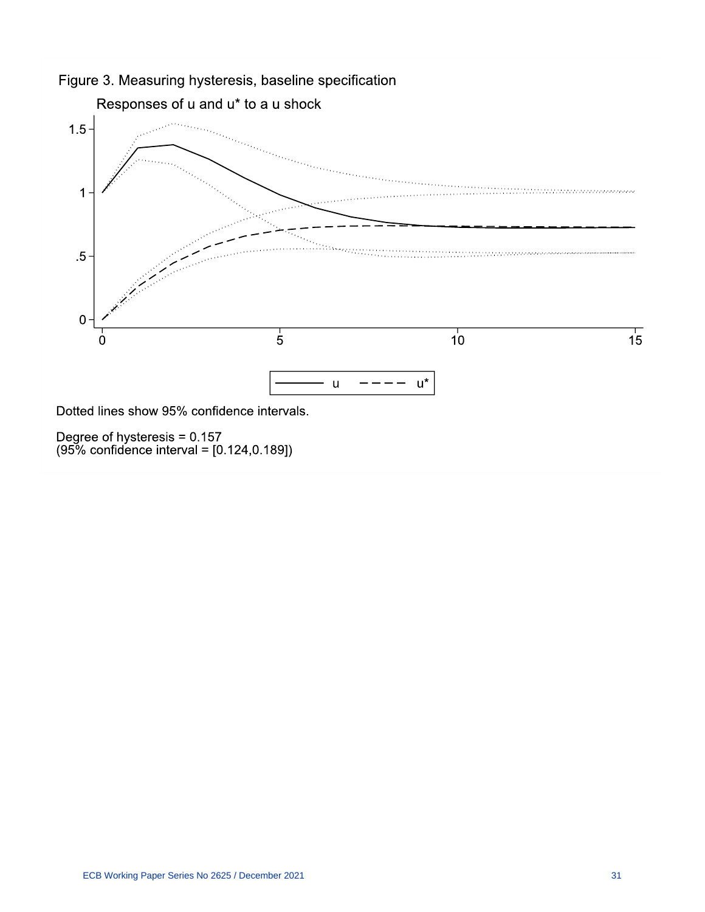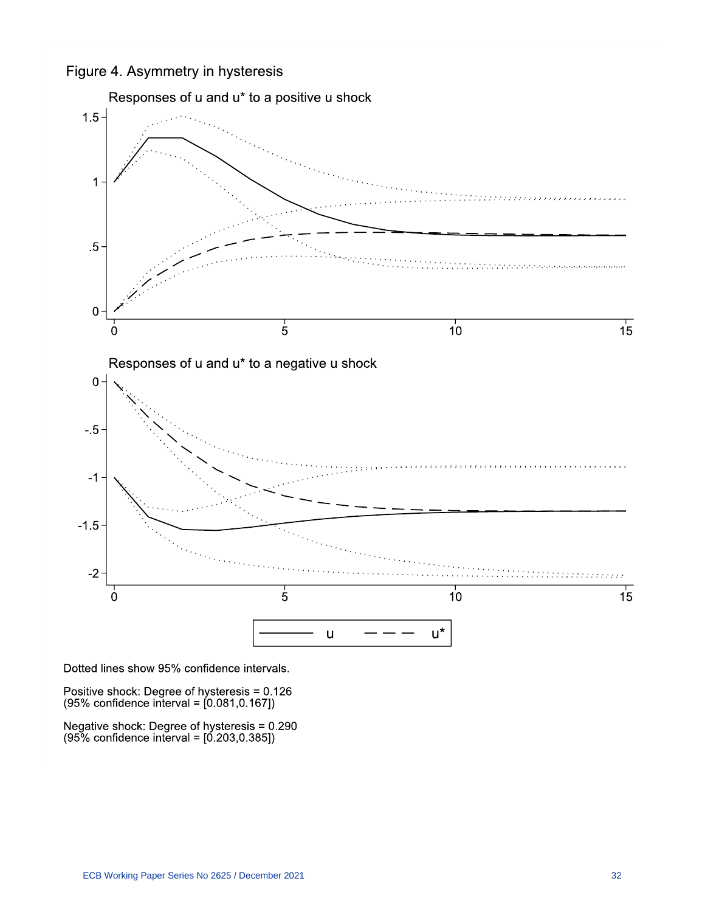Figure 4. Asymmetry in hysteresis



Dotted lines show 95% confidence intervals.

Positive shock: Degree of hysteresis = 0.126<br>(95% confidence interval = [0.081,0.167])

Negative shock: Degree of hysteresis = 0.290<br>(95% confidence interval = [0.203,0.385])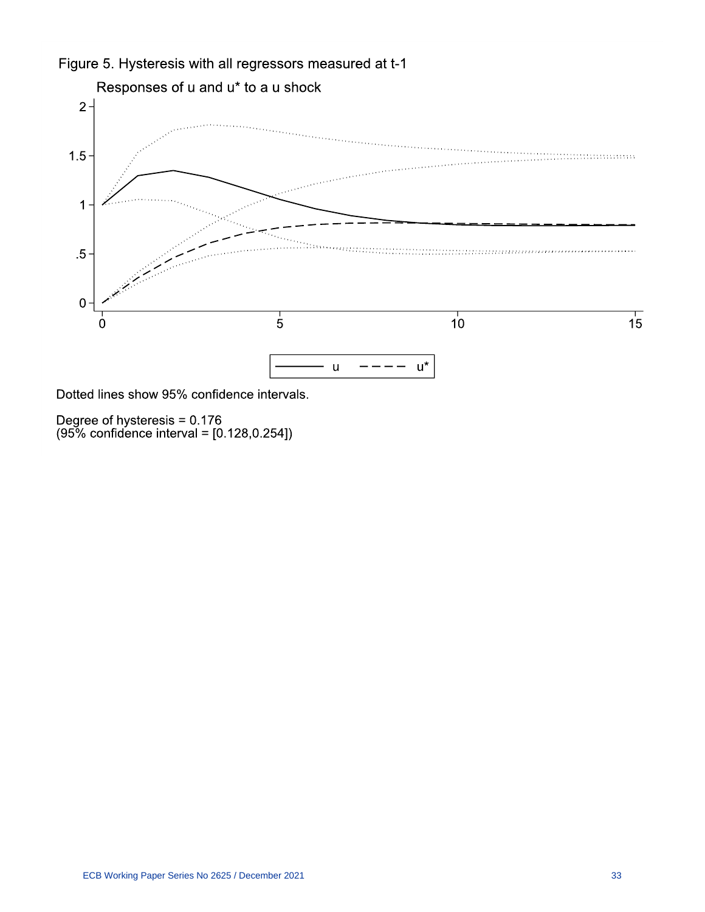

Degree of hysteresis = 0.176<br>(95% confidence interval = [0.128,0.254])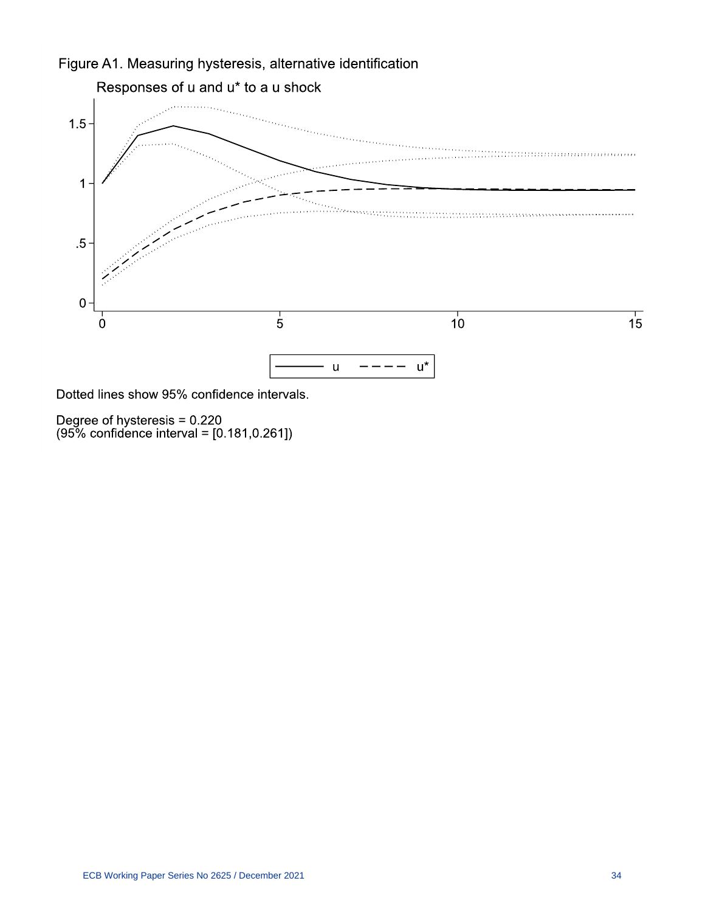

Degree of hysteresis = 0.220<br>(95% confidence interval = [0.181,0.261])